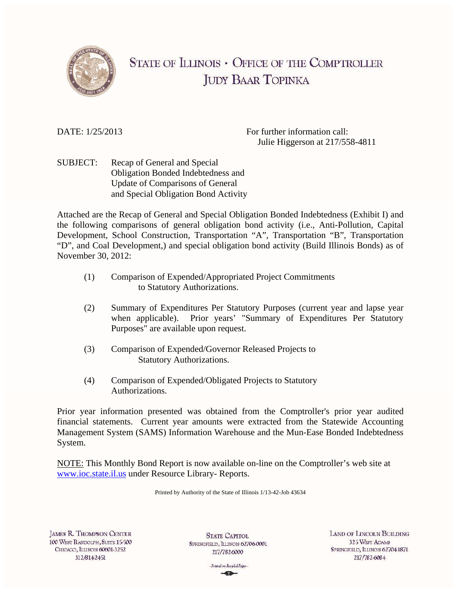

# **STATE OF ILLINOIS • OFFICE OF THE COMPTROLLER IUDY BAAR TOPINKA**

DATE:  $1/25/2013$  For further information call: Julie Higgerson at 217/558-4811

SUBJECT: Recap of General and Special Obligation Bonded Indebtedness and Update of Comparisons of General and Special Obligation Bond Activity

Attached are the Recap of General and Special Obligation Bonded Indebtedness (Exhibit I) and the following comparisons of general obligation bond activity (i.e., Anti-Pollution, Capital Development, School Construction, Transportation "A", Transportation "B", Transportation "D", and Coal Development,) and special obligation bond activity (Build Illinois Bonds) as of November 30, 2012:

- (1) Comparison of Expended/Appropriated Project Commitments to Statutory Authorizations.
- (2) Summary of Expenditures Per Statutory Purposes (current year and lapse year when applicable). Prior years' "Summary of Expenditures Per Statutory Purposes" are available upon request.
- (3) Comparison of Expended/Governor Released Projects to Statutory Authorizations.
- (4) Comparison of Expended/Obligated Projects to Statutory Authorizations.

Prior year information presented was obtained from the Comptroller's prior year audited financial statements. Current year amounts were extracted from the Statewide Accounting Management System (SAMS) Information Warehouse and the Mun-Ease Bonded Indebtedness System.

NOTE: This Monthly Bond Report is now available on-line on the Comptroller's web site at www.ioc.state.il.us under Resource Library- Reports.

Printed by Authority of the State of Illinois 1/13-42-Job 43634

**JAMES R. THOMPSON CENTER** 100 WEST RANDOLPH, SUITE 15-500 CHICAGO, ILLINOIS 60601-3252 312/8142451

**STATE CAPITOL** SPRINGFIELD, ILLINOIS 62706-0001 217/7826000

**LAND OF LINCOLN BUILDING** 325 WEST ADAMS SPRINGFIELD, ILLINOIS 62704-1871 217/782-6084

-Printed on Recycled Paperand China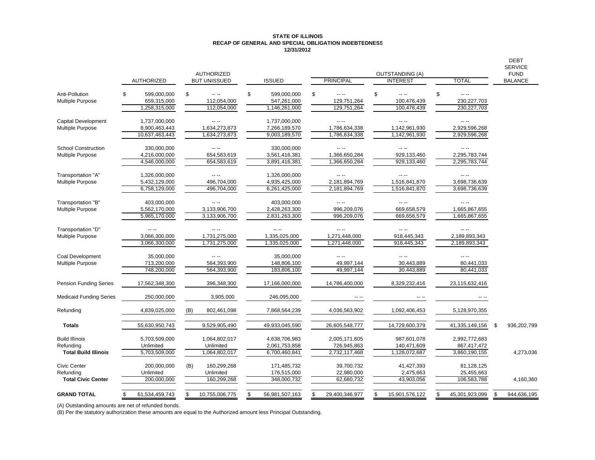#### **STATE OF ILLINOIS RECAP OF GENERAL AND SPECIAL OBLIGATION INDEBTEDNESS 12/31/2012**

|                                |                   |     |                     |                      |                          |                        |                | <b>DEBT</b><br><b>SERVICE</b> |
|--------------------------------|-------------------|-----|---------------------|----------------------|--------------------------|------------------------|----------------|-------------------------------|
|                                |                   |     | <b>AUTHORIZED</b>   |                      |                          | <b>OUTSTANDING (A)</b> |                | <b>FUND</b>                   |
|                                | <b>AUTHORIZED</b> |     | <b>BUT UNISSUED</b> | <b>ISSUED</b>        | <b>PRINCIPAL</b>         | <b>INTEREST</b>        | TOTAL          | <b>BALANCE</b>                |
| Anti-Pollution                 | 599,000,000       | \$  | $- - -$             | \$<br>599,000,000    | \$<br>$- - -$            | \$<br>$- - -$          | \$<br>$- - -$  |                               |
| <b>Multiple Purpose</b>        | 659,315,000       |     | 112,054,000         | 547,261,000          | 129,751,264              | 100,476,439            | 230, 227, 703  |                               |
|                                | 1,258,315,000     |     | 112,054,000         | 1,146,261,000        | 129,751,264              | 100,476,439            | 230, 227, 703  |                               |
|                                |                   |     |                     |                      |                          |                        |                |                               |
| <b>Capital Development</b>     | 1,737,000,000     |     | -- --               | 1,737,000,000        | -- --                    |                        | -- --          |                               |
| <b>Multiple Purpose</b>        | 8,900,463,443     |     | 1,634,273,873       | 7,266,189,570        | 1,786,634,338            | 1,142,961,930          | 2,929,596,268  |                               |
|                                | 10,637,463,443    |     | 1,634,273,873       | 9,003,189,570        | 1,786,634,338            | 1,142,961,930          | 2,929,596,268  |                               |
| <b>School Construction</b>     | 330,000,000       |     |                     | 330,000,000          | -- --                    | $- - - -$              | -- --          |                               |
| <b>Multiple Purpose</b>        | 4,216,000,000     |     | 654,583,619         | 3,561,416,381        | 1,366,650,284            | 929,133,460            | 2,295,783,744  |                               |
|                                | 4,546,000,000     |     | 654,583,619         | 3,891,416,381        | 1,366,650,284            | 929,133,460            | 2,295,783,744  |                               |
|                                |                   |     |                     |                      |                          |                        |                |                               |
| Transportation "A"             | 1,326,000,000     |     | $\sim$ $\sim$       | 1,326,000,000        | $- - -$                  | $- - -$                | -- --          |                               |
| <b>Multiple Purpose</b>        | 5,432,129,000     |     | 496,704,000         | 4,935,425,000        | 2,181,894,769            | 1,516,841,870          | 3,698,736,639  |                               |
|                                | 6,758,129,000     |     | 496,704,000         | 6,261,425,000        | 2,181,894,769            | 1,516,841,870          | 3,698,736,639  |                               |
| Transportation "B"             | 403,000,000       |     |                     | 403,000,000          |                          |                        |                |                               |
| <b>Multiple Purpose</b>        | 5,562,170,000     |     | 3,133,906,700       | 2,428,263,300        | 996,209,076              | 669,658,579            | 1,665,867,655  |                               |
|                                | 5,965,170,000     |     | 3,133,906,700       | 2,831,263,300        | 996,209,076              | 669,658,579            | 1,665,867,655  |                               |
|                                |                   |     |                     |                      |                          |                        |                |                               |
| Transportation "D"             |                   |     |                     | $\cdots$             | -- --                    | $\sim$ $\sim$          |                |                               |
| <b>Multiple Purpose</b>        | 3,066,300,000     |     | 1,731,275,000       | 1,335,025,000        | 1,271,448,000            | 918,445,343            | 2,189,893,343  |                               |
|                                | 3,066,300,000     |     | 1,731,275,000       | 1,335,025,000        | 1,271,448,000            | 918,445,343            | 2,189,893,343  |                               |
|                                |                   |     |                     |                      |                          |                        |                |                               |
| Coal Development               | 35,000,000        |     | $\sim$ $\sim$       | 35,000,000           |                          |                        | -- --          |                               |
| Multiple Purpose               | 713,200,000       |     | 564,393,900         | 148,806,100          | 49,997,144<br>49,997,144 | 30,443,889             | 80,441,033     |                               |
|                                | 748,200,000       |     | 564,393,900         | 183,806,100          |                          | 30,443,889             | 80,441,033     |                               |
| <b>Pension Funding Series</b>  | 17,562,348,300    |     | 396,348,300         | 17,166,000,000       | 14,786,400,000           | 8,329,232,416          | 23,115,632,416 |                               |
|                                |                   |     |                     |                      |                          |                        |                |                               |
| <b>Medicaid Funding Series</b> | 250,000,000       |     | 3,905,000           | 246,095,000          |                          |                        |                |                               |
|                                |                   |     |                     |                      |                          |                        |                |                               |
| Refunding                      | 4,839,025,000     | (B) | 802,461,098         | 7,868,564,239        | 4,036,563,902            | 1,092,406,453          | 5,128,970,355  |                               |
| <b>Totals</b>                  | 55,630,950,743    |     | 9,529,905,490       | 49,933,045,590       | 26,605,548,777           | 14,729,600,379         | 41,335,149,156 | 936,202,799                   |
|                                |                   |     |                     |                      |                          |                        |                |                               |
| <b>Build Illinois</b>          | 5,703,509,000     |     | 1,064,802,017       | 4,638,706,983        | 2,005,171,605            | 987,601,078            | 2,992,772,683  |                               |
| Refundina                      | Unlimited         |     | Unlimited           | 2,061,753,858        | 726,945,863              | 140,471,609            | 867,417,472    |                               |
| <b>Total Build Illinois</b>    | 5,703,509,000     |     | 1,064,802,017       | 6,700,460,841        | 2,732,117,468            | 1,128,072,687          | 3,860,190,155  | 4,273,036                     |
| Civic Center                   | 200,000,000       | (B) | 160.299.268         | 171,485,732          | 39,700,732               | 41,427,393             | 81,128,125     |                               |
| Refunding                      | Unlimited         |     | Unlimited           | 176,515,000          | 22,980,000               | 2,475,663              | 25,455,663     |                               |
| <b>Total Civic Center</b>      | 200,000,000       |     | 160,299,268         | 348,000,732          | 62,680,732               | 43,903,056             | 106,583,788    | 4,160,360                     |
|                                |                   |     |                     |                      |                          |                        |                |                               |
| <b>GRAND TOTAL</b>             | 61,534,459,743    | \$  | 10,755,006,775      | \$<br>56,981,507,163 | 29,400,346,977           | \$<br>15,901,576,122   | 45,301,923,099 | \$<br>944,636,195             |
|                                |                   |     |                     |                      |                          |                        |                |                               |

(A) Outstanding amounts are net of refunded bonds.

(B) Per the statutory authorization these amounts are equal to the Authorized amount less Principal Outstanding.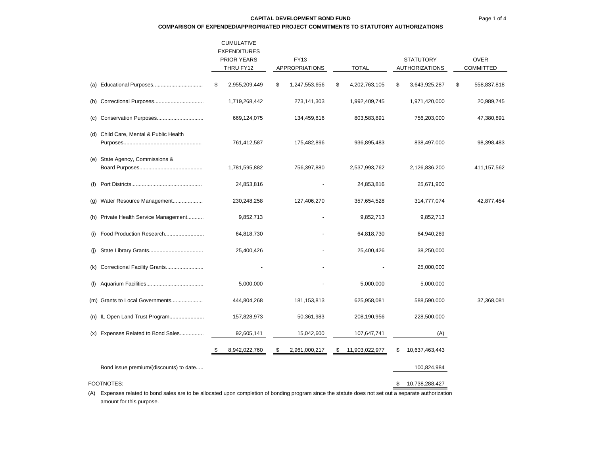### Page 1 of 4

#### **CAPITAL DEVELOPMENT BOND FUND**

#### **COMPARISON OF EXPENDED/APPROPRIATED PROJECT COMMITMENTS TO STATUTORY AUTHORIZATIONS**

|     |                                        | <b>CUMULATIVE</b><br><b>EXPENDITURES</b><br><b>PRIOR YEARS</b><br>THRU FY12 | FY13<br><b>APPROPRIATIONS</b> | <b>TOTAL</b>         | <b>STATUTORY</b><br><b>AUTHORIZATIONS</b> |    | <b>OVER</b><br><b>COMMITTED</b> |
|-----|----------------------------------------|-----------------------------------------------------------------------------|-------------------------------|----------------------|-------------------------------------------|----|---------------------------------|
|     |                                        | \$<br>2,955,209,449                                                         | \$<br>1,247,553,656           | \$<br>4,202,763,105  | \$<br>3,643,925,287                       | \$ | 558,837,818                     |
|     |                                        | 1,719,268,442                                                               | 273,141,303                   | 1,992,409,745        | 1,971,420,000                             |    | 20,989,745                      |
|     |                                        | 669,124,075                                                                 | 134,459,816                   | 803,583,891          | 756,203,000                               |    | 47,380,891                      |
|     | (d) Child Care, Mental & Public Health | 761,412,587                                                                 | 175,482,896                   | 936,895,483          | 838,497,000                               |    | 98,398,483                      |
|     | (e) State Agency, Commissions &        | 1,781,595,882                                                               | 756,397,880                   | 2,537,993,762        | 2,126,836,200                             |    | 411,157,562                     |
|     |                                        | 24,853,816                                                                  |                               | 24,853,816           | 25,671,900                                |    |                                 |
|     | (g) Water Resource Management          | 230,248,258                                                                 | 127,406,270                   | 357,654,528          | 314,777,074                               |    | 42,877,454                      |
|     | (h) Private Health Service Management  | 9,852,713                                                                   |                               | 9,852,713            | 9,852,713                                 |    |                                 |
|     |                                        | 64,818,730                                                                  |                               | 64,818,730           | 64,940,269                                |    |                                 |
| (j) |                                        | 25,400,426                                                                  |                               | 25,400,426           | 38,250,000                                |    |                                 |
|     | (k) Correctional Facility Grants       |                                                                             |                               |                      | 25,000,000                                |    |                                 |
|     |                                        | 5,000,000                                                                   |                               | 5,000,000            | 5,000,000                                 |    |                                 |
|     | (m) Grants to Local Governments        | 444,804,268                                                                 | 181, 153, 813                 | 625,958,081          | 588,590,000                               |    | 37,368,081                      |
|     | (n) IL Open Land Trust Program         | 157,828,973                                                                 | 50,361,983                    | 208,190,956          | 228,500,000                               |    |                                 |
|     | (x) Expenses Related to Bond Sales     | 92,605,141                                                                  | 15,042,600                    | 107,647,741          | (A)                                       |    |                                 |
|     |                                        | \$<br>8,942,022,760                                                         | \$<br>2,961,000,217           | \$<br>11,903,022,977 | \$<br>10,637,463,443                      |    |                                 |
|     | Bond issue premium/(discounts) to date |                                                                             |                               |                      | 100,824,984                               |    |                                 |
|     | FOOTNOTES:                             |                                                                             |                               |                      | \$<br>10,738,288,427                      |    |                                 |

(A) Expenses related to bond sales are to be allocated upon completion of bonding program since the statute does not set out a separate authorization amount for this purpose.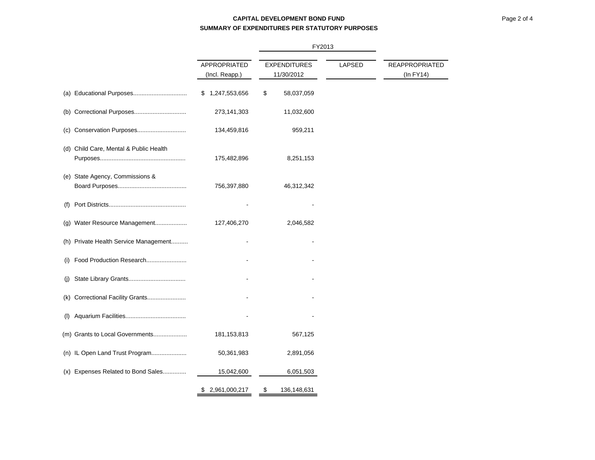# **CAPITAL DEVELOPMENT BOND FUNDSUMMARY OF EXPENDITURES PER STATUTORY PURPOSES**

|                                        |                                | FY2013                            |        |                                  |
|----------------------------------------|--------------------------------|-----------------------------------|--------|----------------------------------|
|                                        | APPROPRIATED<br>(Incl. Reapp.) | <b>EXPENDITURES</b><br>11/30/2012 | LAPSED | REAPPROPRIATED<br>$(ln$ FY14 $)$ |
|                                        | 1,247,553,656<br>S             | \$<br>58,037,059                  |        |                                  |
|                                        | 273,141,303                    | 11,032,600                        |        |                                  |
|                                        | 134,459,816                    | 959,211                           |        |                                  |
| (d) Child Care, Mental & Public Health | 175,482,896                    | 8,251,153                         |        |                                  |
| (e) State Agency, Commissions &        | 756,397,880                    | 46,312,342                        |        |                                  |
| (f)                                    |                                |                                   |        |                                  |
| (g) Water Resource Management          | 127,406,270                    | 2,046,582                         |        |                                  |
| (h) Private Health Service Management  |                                |                                   |        |                                  |
| Food Production Research<br>(i)        |                                |                                   |        |                                  |
| $\mathbf{U}$                           |                                |                                   |        |                                  |
| Correctional Facility Grants<br>(k)    |                                |                                   |        |                                  |
| (1)                                    |                                |                                   |        |                                  |
| (m) Grants to Local Governments        | 181, 153, 813                  | 567,125                           |        |                                  |
| (n) IL Open Land Trust Program         | 50,361,983                     | 2,891,056                         |        |                                  |
| (x) Expenses Related to Bond Sales     | 15,042,600                     | 6,051,503                         |        |                                  |
|                                        | 2,961,000,217<br>\$            | \$<br>136,148,631                 |        |                                  |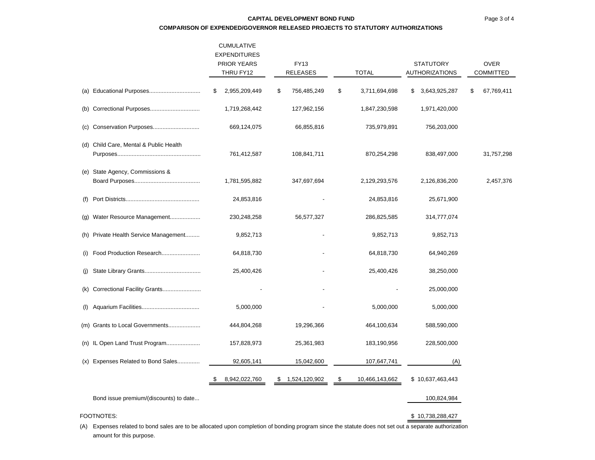### **CAPITAL DEVELOPMENT BOND FUND**

#### **COMPARISON OF EXPENDED/GOVERNOR RELEASED PROJECTS TO STATUTORY AUTHORIZATIONS**

|                                        | <b>CUMULATIVE</b><br><b>EXPENDITURES</b><br>PRIOR YEARS<br>THRU FY12 |    | <b>FY13</b><br><b>RELEASES</b> | <b>STATUTORY</b><br><b>TOTAL</b><br>AUTHORIZATIONS |                | <b>OVER</b><br><b>COMMITTED</b> |    |            |
|----------------------------------------|----------------------------------------------------------------------|----|--------------------------------|----------------------------------------------------|----------------|---------------------------------|----|------------|
|                                        | 2,955,209,449<br>\$                                                  | \$ | 756,485,249                    | \$                                                 | 3,711,694,698  | \$<br>3,643,925,287             | \$ | 67,769,411 |
|                                        | 1,719,268,442                                                        |    | 127,962,156                    |                                                    | 1,847,230,598  | 1,971,420,000                   |    |            |
|                                        | 669,124,075                                                          |    | 66,855,816                     |                                                    | 735,979,891    | 756,203,000                     |    |            |
| (d) Child Care, Mental & Public Health | 761,412,587                                                          |    | 108,841,711                    |                                                    | 870,254,298    | 838,497,000                     |    | 31,757,298 |
| (e) State Agency, Commissions &        | 1,781,595,882                                                        |    | 347,697,694                    |                                                    | 2,129,293,576  | 2,126,836,200                   |    | 2,457,376  |
|                                        | 24,853,816                                                           |    |                                |                                                    | 24,853,816     | 25,671,900                      |    |            |
| (g) Water Resource Management          | 230,248,258                                                          |    | 56,577,327                     |                                                    | 286,825,585    | 314,777,074                     |    |            |
| (h) Private Health Service Management  | 9,852,713                                                            |    |                                |                                                    | 9,852,713      | 9,852,713                       |    |            |
| (i) Food Production Research           | 64,818,730                                                           |    |                                |                                                    | 64,818,730     | 64,940,269                      |    |            |
|                                        | 25,400,426                                                           |    |                                |                                                    | 25,400,426     | 38,250,000                      |    |            |
| (k) Correctional Facility Grants       |                                                                      |    |                                |                                                    |                | 25,000,000                      |    |            |
|                                        | 5,000,000                                                            |    |                                |                                                    | 5,000,000      | 5,000,000                       |    |            |
| (m) Grants to Local Governments        | 444,804,268                                                          |    | 19,296,366                     |                                                    | 464,100,634    | 588,590,000                     |    |            |
| (n) IL Open Land Trust Program         | 157,828,973                                                          |    | 25,361,983                     |                                                    | 183,190,956    | 228,500,000                     |    |            |
| (x) Expenses Related to Bond Sales     | 92,605,141                                                           |    | 15,042,600                     |                                                    | 107,647,741    | (A)                             |    |            |
|                                        | 8,942,022,760                                                        | S  | 1,524,120,902                  | \$                                                 | 10,466,143,662 | \$10,637,463,443                |    |            |
| Bond issue premium/(discounts) to date |                                                                      |    |                                |                                                    |                | 100,824,984                     |    |            |
| FOOTNOTES:                             |                                                                      |    |                                |                                                    |                | \$10,738,288,427                |    |            |

(A) Expenses related to bond sales are to be allocated upon completion of bonding program since the statute does not set out a separate authorization amount for this purpose.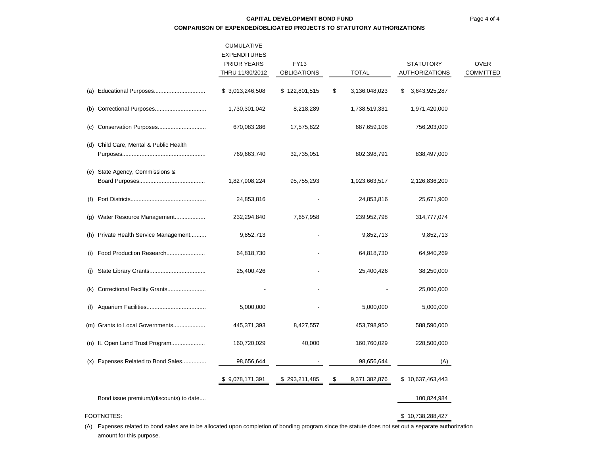# **CAPITAL DEVELOPMENT BOND FUNDCOMPARISON OF EXPENDED/OBLIGATED PROJECTS TO STATUTORY AUTHORIZATIONS**

|     |                                        | <b>CUMULATIVE</b><br><b>EXPENDITURES</b><br>PRIOR YEARS<br>THRU 11/30/2012 | FY13<br><b>OBLIGATIONS</b> | <b>TOTAL</b>        | STATUTORY<br><b>AUTHORIZATIONS</b> | <b>OVER</b><br>COMMITTED |
|-----|----------------------------------------|----------------------------------------------------------------------------|----------------------------|---------------------|------------------------------------|--------------------------|
|     |                                        | \$ 3,013,246,508                                                           | \$122,801,515              | \$<br>3,136,048,023 | \$<br>3,643,925,287                |                          |
|     |                                        | 1,730,301,042                                                              | 8,218,289                  | 1,738,519,331       | 1,971,420,000                      |                          |
| (c) |                                        | 670,083,286                                                                | 17,575,822                 | 687,659,108         | 756,203,000                        |                          |
|     | (d) Child Care, Mental & Public Health | 769,663,740                                                                | 32,735,051                 | 802,398,791         | 838,497,000                        |                          |
|     | (e) State Agency, Commissions &        | 1,827,908,224                                                              | 95,755,293                 | 1,923,663,517       | 2,126,836,200                      |                          |
| (f) |                                        | 24,853,816                                                                 |                            | 24,853,816          | 25,671,900                         |                          |
| (g) | Water Resource Management              | 232,294,840                                                                | 7,657,958                  | 239,952,798         | 314,777,074                        |                          |
|     | (h) Private Health Service Management  | 9,852,713                                                                  |                            | 9,852,713           | 9,852,713                          |                          |
| (i) | Food Production Research               | 64,818,730                                                                 |                            | 64,818,730          | 64,940,269                         |                          |
| (j) |                                        | 25,400,426                                                                 |                            | 25,400,426          | 38,250,000                         |                          |
| (k) |                                        |                                                                            |                            |                     | 25,000,000                         |                          |
| (1) |                                        | 5,000,000                                                                  |                            | 5,000,000           | 5,000,000                          |                          |
|     | (m) Grants to Local Governments        | 445,371,393                                                                | 8,427,557                  | 453,798,950         | 588,590,000                        |                          |
|     | (n) IL Open Land Trust Program         | 160,720,029                                                                | 40,000                     | 160,760,029         | 228,500,000                        |                          |
|     | (x) Expenses Related to Bond Sales     | 98,656,644                                                                 |                            | 98,656,644          | (A)                                |                          |
|     |                                        | \$9,078,171,391                                                            | \$293,211,485              | \$<br>9,371,382,876 | \$10,637,463,443                   |                          |
|     | Bond issue premium/(discounts) to date |                                                                            |                            |                     | 100,824,984                        |                          |
|     | FOOTNOTES:                             |                                                                            |                            |                     | \$10,738,288,427                   |                          |

(A) Expenses related to bond sales are to be allocated upon completion of bonding program since the statute does not set out a separate authorization amount for this purpose.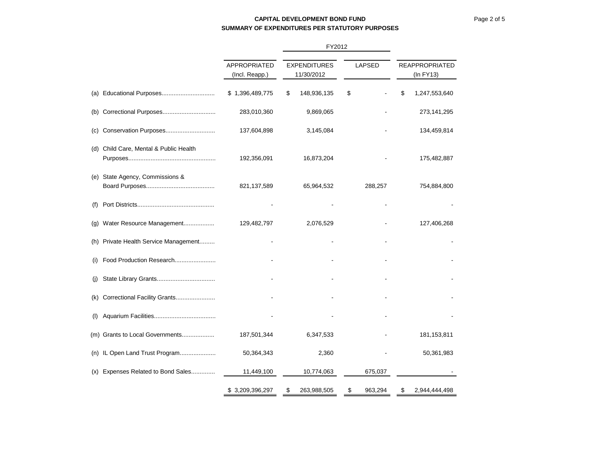# **CAPITAL DEVELOPMENT BOND FUNDSUMMARY OF EXPENDITURES PER STATUTORY PURPOSES**

|     |                                        |                                | FY2012 |                                   |    |               |                                    |
|-----|----------------------------------------|--------------------------------|--------|-----------------------------------|----|---------------|------------------------------------|
|     |                                        | APPROPRIATED<br>(Incl. Reapp.) |        | <b>EXPENDITURES</b><br>11/30/2012 |    | <b>LAPSED</b> | <b>REAPPROPRIATED</b><br>(In FY13) |
|     |                                        | \$1,396,489,775                | \$     | 148,936,135                       | \$ |               | \$<br>1,247,553,640                |
|     |                                        | 283,010,360                    |        | 9,869,065                         |    |               | 273,141,295                        |
|     |                                        | 137,604,898                    |        | 3,145,084                         |    |               | 134,459,814                        |
|     | (d) Child Care, Mental & Public Health | 192,356,091                    |        | 16,873,204                        |    |               | 175,482,887                        |
| (e) | State Agency, Commissions &            | 821, 137, 589                  |        | 65,964,532                        |    | 288,257       | 754,884,800                        |
| (f) |                                        |                                |        |                                   |    |               |                                    |
|     | (g) Water Resource Management          | 129,482,797                    |        | 2,076,529                         |    |               | 127,406,268                        |
|     | (h) Private Health Service Management  |                                |        |                                   |    |               |                                    |
| (i) | Food Production Research               |                                |        |                                   |    |               |                                    |
| (i) |                                        |                                |        |                                   |    |               |                                    |
|     | (k) Correctional Facility Grants       |                                |        |                                   |    |               |                                    |
| (1) |                                        |                                |        |                                   |    |               |                                    |
|     | (m) Grants to Local Governments        | 187,501,344                    |        | 6,347,533                         |    |               | 181, 153, 811                      |
|     | (n) IL Open Land Trust Program         | 50,364,343                     |        | 2,360                             |    |               | 50,361,983                         |
| (X) | Expenses Related to Bond Sales         | 11,449,100                     |        | 10,774,063                        |    | 675,037       |                                    |
|     |                                        | \$3,209,396,297                | \$     | 263,988,505                       | \$ | 963,294       | \$<br>2,944,444,498                |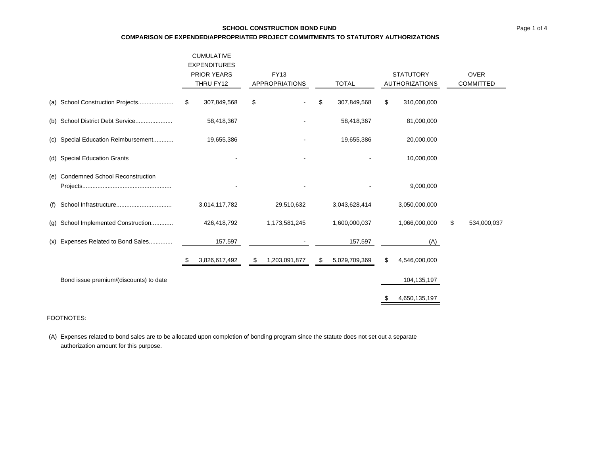# **SCHOOL CONSTRUCTION BOND FUNDCOMPARISON OF EXPENDED/APPROPRIATED PROJECT COMMITMENTS TO STATUTORY AUTHORIZATIONS**

|     |                                        | <b>CUMULATIVE</b><br><b>EXPENDITURES</b> |                       |                     |    |                       |                   |
|-----|----------------------------------------|------------------------------------------|-----------------------|---------------------|----|-----------------------|-------------------|
|     |                                        | <b>PRIOR YEARS</b>                       | FY13                  |                     |    | <b>STATUTORY</b>      | <b>OVER</b>       |
|     |                                        | THRU FY12                                | <b>APPROPRIATIONS</b> | <b>TOTAL</b>        |    | <b>AUTHORIZATIONS</b> | <b>COMMITTED</b>  |
|     |                                        | \$<br>307,849,568                        | \$                    | \$<br>307,849,568   | \$ | 310,000,000           |                   |
|     | (b) School District Debt Service       | 58,418,367                               |                       | 58,418,367          |    | 81,000,000            |                   |
|     | (c) Special Education Reimbursement    | 19,655,386                               |                       | 19,655,386          |    | 20,000,000            |                   |
|     | (d) Special Education Grants           |                                          |                       |                     |    | 10,000,000            |                   |
|     | (e) Condemned School Reconstruction    |                                          |                       |                     |    | 9,000,000             |                   |
| (f) |                                        | 3,014,117,782                            | 29,510,632            | 3,043,628,414       |    | 3,050,000,000         |                   |
| (q) | School Implemented Construction        | 426,418,792                              | 1,173,581,245         | 1,600,000,037       |    | 1,066,000,000         | \$<br>534,000,037 |
|     | (x) Expenses Related to Bond Sales     | 157,597                                  |                       | 157,597             |    | (A)                   |                   |
|     |                                        | \$<br>3,826,617,492                      | \$<br>1,203,091,877   | \$<br>5,029,709,369 | \$ | 4,546,000,000         |                   |
|     | Bond issue premium/(discounts) to date |                                          |                       |                     |    | 104, 135, 197         |                   |
|     |                                        |                                          |                       |                     | S. | 4,650,135,197         |                   |

### FOOTNOTES:

(A) Expenses related to bond sales are to be allocated upon completion of bonding program since the statute does not set out a separate authorization amount for this purpose.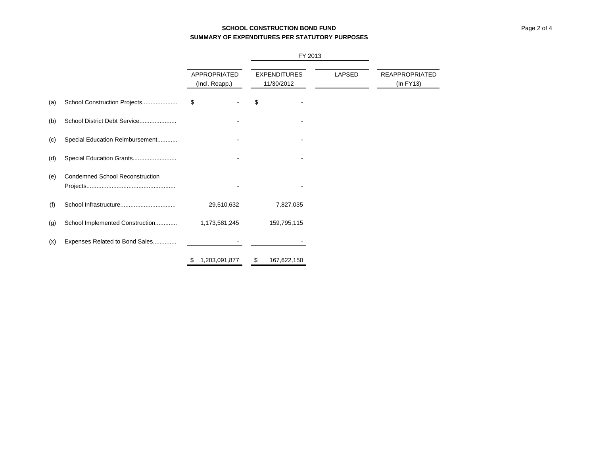# **SCHOOL CONSTRUCTION BOND FUNDSUMMARY OF EXPENDITURES PER STATUTORY PURPOSES**

|     |                                        |    | APPROPRIATED<br>(Incl. Reapp.) |    | FY 2013                           |               |                                         |
|-----|----------------------------------------|----|--------------------------------|----|-----------------------------------|---------------|-----------------------------------------|
|     |                                        |    |                                |    | <b>EXPENDITURES</b><br>11/30/2012 | <b>LAPSED</b> | <b>REAPPROPRIATED</b><br>$(ln$ FY13 $)$ |
| (a) | School Construction Projects           | \$ |                                | \$ |                                   |               |                                         |
| (b) | School District Debt Service           |    |                                |    |                                   |               |                                         |
| (c) | Special Education Reimbursement        |    |                                |    |                                   |               |                                         |
| (d) | Special Education Grants               |    |                                |    |                                   |               |                                         |
| (e) | <b>Condemned School Reconstruction</b> |    |                                |    |                                   |               |                                         |
| (f) |                                        |    | 29,510,632                     |    | 7,827,035                         |               |                                         |
| (g) | School Implemented Construction        |    | 1,173,581,245                  |    | 159,795,115                       |               |                                         |
| (x) | Expenses Related to Bond Sales         |    |                                |    |                                   |               |                                         |
|     |                                        | \$ | 1,203,091,877                  | \$ | 167,622,150                       |               |                                         |

L,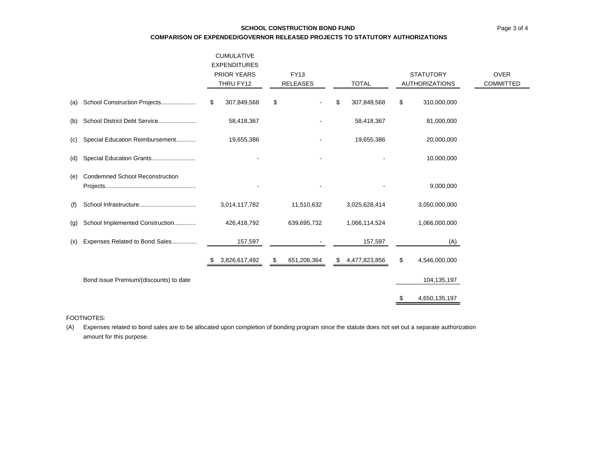### **SCHOOL CONSTRUCTION BOND FUND**

**COMPARISON OF EXPENDED/GOVERNOR RELEASED PROJECTS TO STATUTORY AUTHORIZATIONS**

|     |                                        | <b>CUMULATIVE</b><br><b>EXPENDITURES</b> |                                |                     |                                           |                                 |
|-----|----------------------------------------|------------------------------------------|--------------------------------|---------------------|-------------------------------------------|---------------------------------|
|     |                                        | <b>PRIOR YEARS</b><br>THRU FY12          | <b>FY13</b><br><b>RELEASES</b> | <b>TOTAL</b>        | <b>STATUTORY</b><br><b>AUTHORIZATIONS</b> | <b>OVER</b><br><b>COMMITTED</b> |
| (a) | School Construction Projects           | 307,849,568<br>\$                        | \$                             | 307,849,568<br>\$   | \$<br>310,000,000                         |                                 |
| (b) | School District Debt Service           | 58,418,367                               |                                | 58,418,367          | 81,000,000                                |                                 |
| (C) | Special Education Reimbursement        | 19,655,386                               |                                | 19,655,386          | 20,000,000                                |                                 |
| (d) | Special Education Grants               |                                          |                                |                     | 10,000,000                                |                                 |
| (e) | <b>Condemned School Reconstruction</b> |                                          |                                |                     | 9,000,000                                 |                                 |
| (f) |                                        | 3,014,117,782                            | 11,510,632                     | 3,025,628,414       | 3,050,000,000                             |                                 |
| (g) | School Implemented Construction        | 426,418,792                              | 639,695,732                    | 1,066,114,524       | 1,066,000,000                             |                                 |
| (x) | Expenses Related to Bond Sales         | 157,597                                  |                                | 157,597             | (A)                                       |                                 |
|     |                                        | 3,826,617,492<br>æ.                      | 651,206,364<br>\$              | 4,477,823,856<br>\$ | \$<br>4,546,000,000                       |                                 |
|     | Bond issue Premium/(discounts) to date |                                          |                                |                     | 104,135,197                               |                                 |
|     |                                        |                                          |                                |                     | 4,650,135,197                             |                                 |

### FOOTNOTES:

(A) Expenses related to bond sales are to be allocated upon completion of bonding program since the statute does not set out a separate authorization amount for this purpose.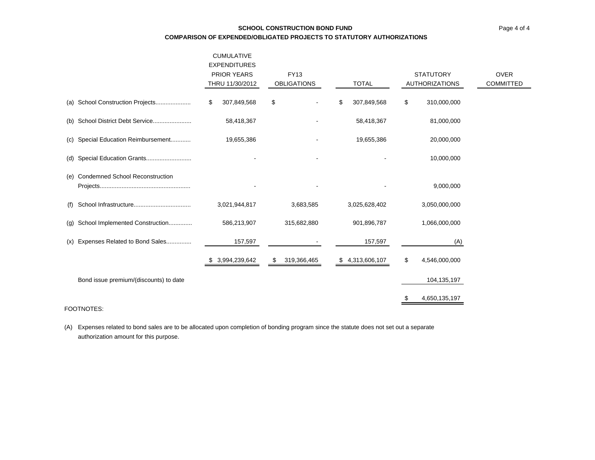|                                        | <b>CUMULATIVE</b><br><b>EXPENDITURES</b><br><b>PRIOR YEARS</b><br><b>FY13</b><br>THRU 11/30/2012<br><b>OBLIGATIONS</b> |                   | <b>TOTAL</b>      | <b>STATUTORY</b><br><b>AUTHORIZATIONS</b> | <b>OVER</b><br><b>COMMITTED</b> |
|----------------------------------------|------------------------------------------------------------------------------------------------------------------------|-------------------|-------------------|-------------------------------------------|---------------------------------|
| (a) School Construction Projects       | \$<br>307,849,568                                                                                                      | \$                | \$<br>307,849,568 | \$<br>310,000,000                         |                                 |
| School District Debt Service<br>(b)    | 58,418,367                                                                                                             |                   | 58,418,367        | 81,000,000                                |                                 |
| Special Education Reimbursement<br>(C) | 19,655,386                                                                                                             |                   | 19,655,386        | 20,000,000                                |                                 |
| Special Education Grants<br>(d)        |                                                                                                                        |                   |                   | 10,000,000                                |                                 |
| (e) Condemned School Reconstruction    |                                                                                                                        |                   |                   | 9,000,000                                 |                                 |
| (f)                                    | 3,021,944,817                                                                                                          | 3,683,585         | 3,025,628,402     | 3,050,000,000                             |                                 |
| School Implemented Construction<br>(g) | 586,213,907                                                                                                            | 315,682,880       | 901,896,787       | 1,066,000,000                             |                                 |
| Expenses Related to Bond Sales<br>(x)  | 157,597                                                                                                                |                   | 157,597           | (A)                                       |                                 |
|                                        | \$ 3,994,239,642                                                                                                       | 319,366,465<br>S. | \$4,313,606,107   | \$<br>4,546,000,000                       |                                 |
| Bond issue premium/(discounts) to date |                                                                                                                        |                   |                   | 104,135,197                               |                                 |
| FOOTNOTES:                             |                                                                                                                        |                   |                   | 4,650,135,197                             |                                 |

(A) Expenses related to bond sales are to be allocated upon completion of bonding program since the statute does not set out a separate authorization amount for this purpose.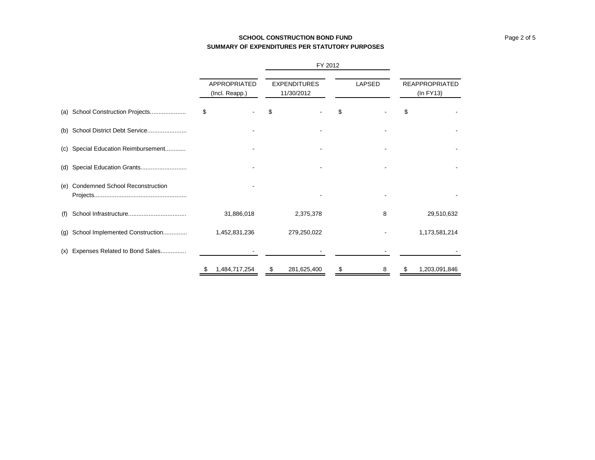# **SCHOOL CONSTRUCTION BOND FUNDSUMMARY OF EXPENDITURES PER STATUTORY PURPOSES**

|     |                                        |                                | <b>FIZUIZ</b>                     |         |                                    |  |  |
|-----|----------------------------------------|--------------------------------|-----------------------------------|---------|------------------------------------|--|--|
|     |                                        | APPROPRIATED<br>(Incl. Reapp.) | <b>EXPENDITURES</b><br>11/30/2012 | LAPSED  | <b>REAPPROPRIATED</b><br>(In FY13) |  |  |
|     | (a) School Construction Projects       | \$                             |                                   | S       | S                                  |  |  |
|     | (b) School District Debt Service       |                                |                                   |         |                                    |  |  |
|     | (c) Special Education Reimbursement    |                                |                                   |         |                                    |  |  |
| (d) | Special Education Grants               |                                |                                   |         |                                    |  |  |
| (e) | <b>Condemned School Reconstruction</b> |                                |                                   |         |                                    |  |  |
| (f) |                                        | 31,886,018                     | 2,375,378                         | 8       | 29,510,632                         |  |  |
| (g) | School Implemented Construction        | 1,452,831,236                  | 279,250,022                       |         | 1,173,581,214                      |  |  |
| (x) | Expenses Related to Bond Sales         |                                |                                   |         |                                    |  |  |
|     |                                        | 1,484,717,254<br>\$            | 281,625,400<br>\$                 | \$<br>8 | 1,203,091,846<br>S                 |  |  |

FY 2012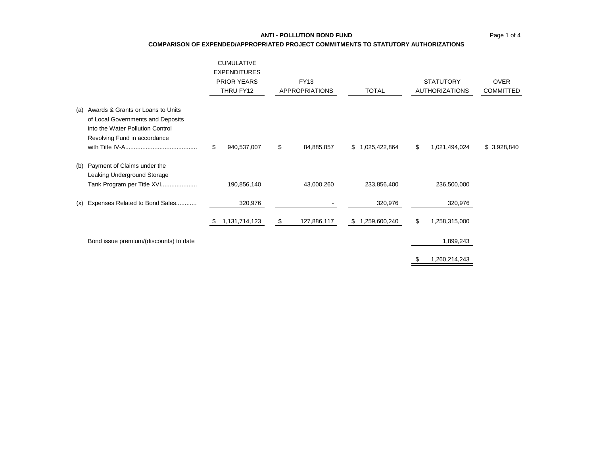#### **COMPARISON OF EXPENDED/APPROPRIATED PROJECT COMMITMENTS TO STATUTORY AUTHORIZATIONS**

|     |                                                                                                                                            | <b>CUMULATIVE</b><br><b>EXPENDITURES</b><br><b>PRIOR YEARS</b><br>THRU FY12 | <b>FY13</b><br><b>APPROPRIATIONS</b> | <b>TOTAL</b>    | <b>STATUTORY</b><br><b>AUTHORIZATIONS</b> | <b>OVER</b><br><b>COMMITTED</b> |
|-----|--------------------------------------------------------------------------------------------------------------------------------------------|-----------------------------------------------------------------------------|--------------------------------------|-----------------|-------------------------------------------|---------------------------------|
| (a) | Awards & Grants or Loans to Units<br>of Local Governments and Deposits<br>into the Water Pollution Control<br>Revolving Fund in accordance | \$<br>940,537,007                                                           | \$<br>84,885,857                     | \$1,025,422,864 | \$<br>1,021,494,024                       | \$3,928,840                     |
| (b) | Payment of Claims under the<br>Leaking Underground Storage<br>Tank Program per Title XVI                                                   | 190,856,140                                                                 | 43,000,260                           | 233,856,400     | 236,500,000                               |                                 |
| (x) | Expenses Related to Bond Sales                                                                                                             | 320,976                                                                     |                                      | 320,976         | 320,976                                   |                                 |
|     |                                                                                                                                            | 1,131,714,123<br>P.                                                         | \$<br>127,886,117                    | \$1,259,600,240 | \$<br>1,258,315,000                       |                                 |
|     | Bond issue premium/(discounts) to date                                                                                                     |                                                                             |                                      |                 | 1,899,243                                 |                                 |
|     |                                                                                                                                            |                                                                             |                                      |                 | \$<br>1,260,214,243                       |                                 |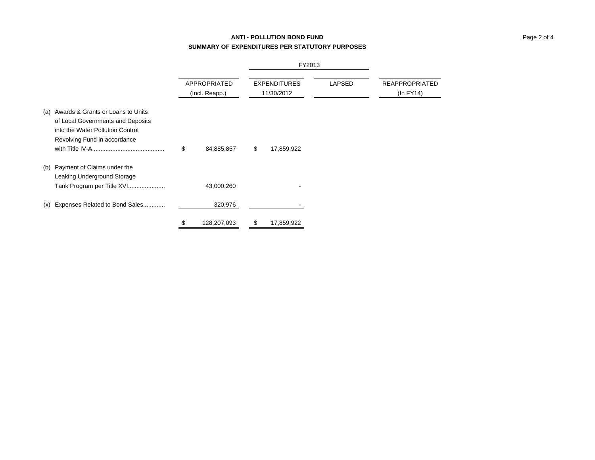# **ANTI - POLLUTION BOND FUNDSUMMARY OF EXPENDITURES PER STATUTORY PURPOSES**

|                                                                                                                                                |    |                                |    | 11201 U                           |               |                                         |
|------------------------------------------------------------------------------------------------------------------------------------------------|----|--------------------------------|----|-----------------------------------|---------------|-----------------------------------------|
|                                                                                                                                                |    | APPROPRIATED<br>(Incl. Reapp.) |    | <b>EXPENDITURES</b><br>11/30/2012 | <b>LAPSED</b> | <b>REAPPROPRIATED</b><br>$(ln$ FY14 $)$ |
| (a) Awards & Grants or Loans to Units<br>of Local Governments and Deposits<br>into the Water Pollution Control<br>Revolving Fund in accordance | \$ | 84,885,857                     | \$ | 17,859,922                        |               |                                         |
| (b) Payment of Claims under the<br>Leaking Underground Storage<br>Tank Program per Title XVI                                                   |    | 43,000,260                     |    |                                   |               |                                         |
| (x) Expenses Related to Bond Sales                                                                                                             |    | 320,976                        |    |                                   |               |                                         |
|                                                                                                                                                |    | 128,207,093                    |    | 17,859,922                        |               |                                         |

| 201 |  |
|-----|--|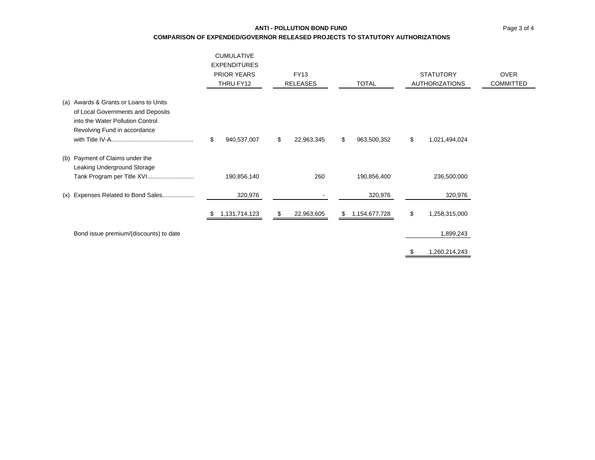### **ANTI - POLLUTION BOND FUND**

**COMPARISON OF EXPENDED/GOVERNOR RELEASED PROJECTS TO STATUTORY AUTHORIZATIONS**

|                                                                                                                                                | <b>CUMULATIVE</b><br><b>EXPENDITURES</b><br><b>PRIOR YEARS</b><br>THRU FY12 | <b>FY13</b><br><b>RELEASES</b> | <b>TOTAL</b>      | <b>STATUTORY</b><br><b>AUTHORIZATIONS</b> | <b>OVER</b><br><b>COMMITTED</b> |
|------------------------------------------------------------------------------------------------------------------------------------------------|-----------------------------------------------------------------------------|--------------------------------|-------------------|-------------------------------------------|---------------------------------|
| (a) Awards & Grants or Loans to Units<br>of Local Governments and Deposits<br>into the Water Pollution Control<br>Revolving Fund in accordance | \$<br>940,537,007                                                           | \$<br>22,963,345               | \$<br>963,500,352 | \$<br>1,021,494,024                       |                                 |
| (b) Payment of Claims under the<br>Leaking Underground Storage                                                                                 | 190,856,140                                                                 | 260                            | 190,856,400       | 236,500,000                               |                                 |
| (x) Expenses Related to Bond Sales                                                                                                             | 320,976                                                                     |                                | 320,976           | 320,976                                   |                                 |
|                                                                                                                                                | 1,131,714,123                                                               | \$<br>22,963,605               | \$1,154,677,728   | \$<br>1,258,315,000                       |                                 |
| Bond issue premium/(discounts) to date                                                                                                         |                                                                             |                                |                   | 1,899,243                                 |                                 |

\$ 1,260,214,243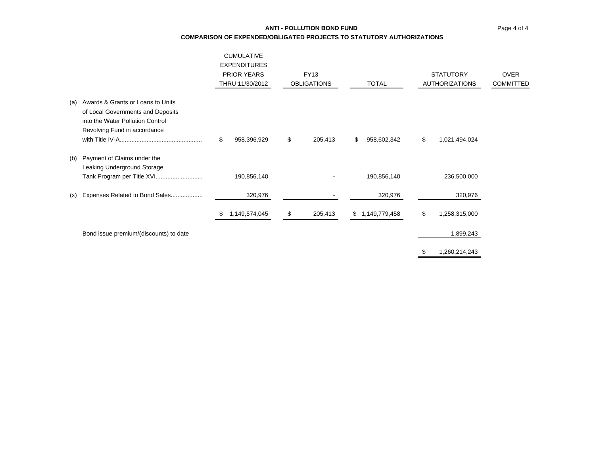# Page 4 of 4

# **ANTI - POLLUTION BOND FUNDCOMPARISON OF EXPENDED/OBLIGATED PROJECTS TO STATUTORY AUTHORIZATIONS**

|     |                                                                                                                                            | <b>CUMULATIVE</b><br><b>EXPENDITURES</b><br><b>PRIOR YEARS</b><br>THRU 11/30/2012 | <b>FY13</b><br><b>OBLIGATIONS</b> |    | <b>TOTAL</b>    | <b>STATUTORY</b><br><b>AUTHORIZATIONS</b> | <b>OVER</b><br><b>COMMITTED</b> |
|-----|--------------------------------------------------------------------------------------------------------------------------------------------|-----------------------------------------------------------------------------------|-----------------------------------|----|-----------------|-------------------------------------------|---------------------------------|
| (a) | Awards & Grants or Loans to Units<br>of Local Governments and Deposits<br>into the Water Pollution Control<br>Revolving Fund in accordance | \$<br>958,396,929                                                                 | \$<br>205,413                     | S. | 958,602,342     | \$<br>1,021,494,024                       |                                 |
| (b) | Payment of Claims under the<br>Leaking Underground Storage                                                                                 | 190,856,140                                                                       |                                   |    | 190,856,140     | 236,500,000                               |                                 |
| (x) | Expenses Related to Bond Sales                                                                                                             | 320,976                                                                           |                                   |    | 320,976         | 320,976                                   |                                 |
|     |                                                                                                                                            | 1,149,574,045                                                                     | \$<br>205,413                     |    | \$1,149,779,458 | \$<br>1,258,315,000                       |                                 |
|     | Bond issue premium/(discounts) to date                                                                                                     |                                                                                   |                                   |    |                 | 1,899,243                                 |                                 |
|     |                                                                                                                                            |                                                                                   |                                   |    |                 | \$<br>1,260,214,243                       |                                 |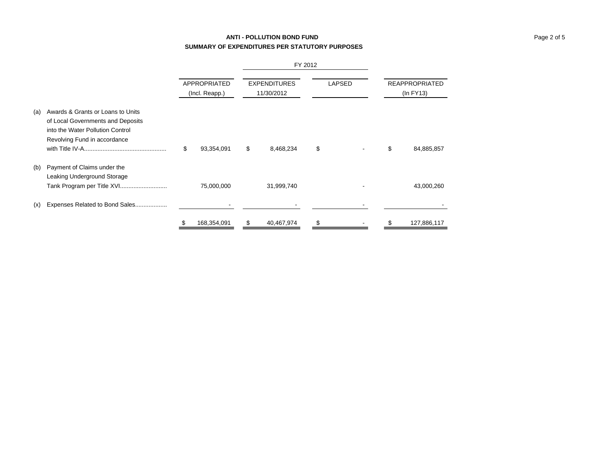# **ANTI - POLLUTION BOND FUND SUMMARY OF EXPENDITURES PER STATUTORY PURPOSES**

FY 2012

|     |                                                                                                                                            |    | APPROPRIATED<br>(Incl. Reapp.) |    | <b>EXPENDITURES</b><br>11/30/2012 |    | <b>LAPSED</b> | <b>REAPPROPRIATED</b><br>$(ln$ FY13 $)$ |             |  |
|-----|--------------------------------------------------------------------------------------------------------------------------------------------|----|--------------------------------|----|-----------------------------------|----|---------------|-----------------------------------------|-------------|--|
| (a) | Awards & Grants or Loans to Units<br>of Local Governments and Deposits<br>into the Water Pollution Control<br>Revolving Fund in accordance | \$ | 93,354,091                     | \$ | 8,468,234                         | \$ |               | \$                                      | 84,885,857  |  |
| (b) | Payment of Claims under the<br>Leaking Underground Storage<br>Tank Program per Title XVI                                                   |    | 75,000,000                     |    | 31,999,740                        |    |               |                                         | 43,000,260  |  |
| (x) | Expenses Related to Bond Sales                                                                                                             |    |                                |    |                                   |    |               |                                         |             |  |
|     |                                                                                                                                            | \$ | 168,354,091                    | \$ | 40,467,974                        | \$ |               | \$                                      | 127,886,117 |  |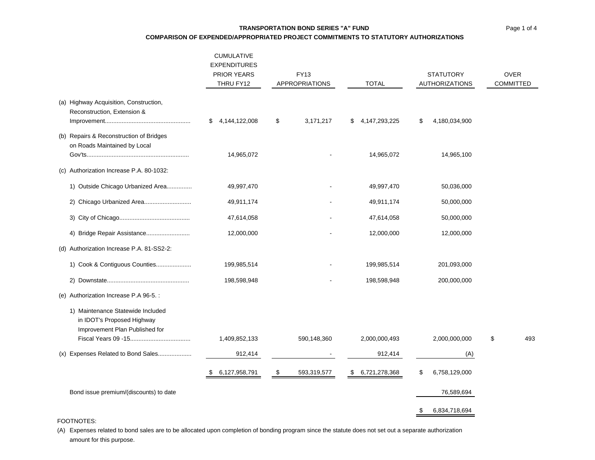### **TRANSPORTATION BOND SERIES "A" FUND**

**COMPARISON OF EXPENDED/APPROPRIATED PROJECT COMMITMENTS TO STATUTORY AUTHORIZATIONS**

|                                                                                                   | <b>CUMULATIVE</b><br><b>EXPENDITURES</b><br><b>PRIOR YEARS</b><br>THRU FY12 | <b>FY13</b><br><b>APPROPRIATIONS</b> | <b>TOTAL</b>             | <b>STATUTORY</b><br><b>AUTHORIZATIONS</b> | <b>OVER</b><br><b>COMMITTED</b> |
|---------------------------------------------------------------------------------------------------|-----------------------------------------------------------------------------|--------------------------------------|--------------------------|-------------------------------------------|---------------------------------|
| (a) Highway Acquisition, Construction,<br>Reconstruction, Extension &                             | 4,144,122,008<br>\$                                                         | \$<br>3,171,217                      | 4,147,293,225<br>\$.     | \$<br>4,180,034,900                       |                                 |
| (b) Repairs & Reconstruction of Bridges<br>on Roads Maintained by Local                           | 14,965,072                                                                  |                                      | 14,965,072               | 14,965,100                                |                                 |
| (c) Authorization Increase P.A. 80-1032:                                                          |                                                                             |                                      |                          |                                           |                                 |
| 1) Outside Chicago Urbanized Area                                                                 | 49,997,470                                                                  |                                      | 49,997,470               | 50,036,000                                |                                 |
| 2) Chicago Urbanized Area                                                                         | 49,911,174                                                                  |                                      | 49,911,174               | 50,000,000                                |                                 |
|                                                                                                   | 47,614,058                                                                  |                                      | 47,614,058               | 50,000,000                                |                                 |
|                                                                                                   | 12,000,000                                                                  |                                      | 12,000,000               | 12,000,000                                |                                 |
| (d) Authorization Increase P.A. 81-SS2-2:                                                         |                                                                             |                                      |                          |                                           |                                 |
| 1) Cook & Contiguous Counties                                                                     | 199,985,514                                                                 |                                      | 199,985,514              | 201,093,000                               |                                 |
|                                                                                                   | 198,598,948                                                                 |                                      | 198,598,948              | 200,000,000                               |                                 |
| (e) Authorization Increase P.A 96-5.:                                                             |                                                                             |                                      |                          |                                           |                                 |
| 1) Maintenance Statewide Included<br>in IDOT's Proposed Highway<br>Improvement Plan Published for |                                                                             |                                      |                          |                                           | 493                             |
| (x) Expenses Related to Bond Sales                                                                | 1,409,852,133<br>912,414                                                    | 590,148,360                          | 2,000,000,493<br>912,414 | 2,000,000,000                             | \$                              |
|                                                                                                   |                                                                             |                                      |                          | (A)                                       |                                 |
|                                                                                                   | 6,127,958,791                                                               | \$<br>593,319,577                    | \$ 6,721,278,368         | \$<br>6,758,129,000                       |                                 |
| Bond issue premium/(discounts) to date                                                            |                                                                             |                                      |                          | 76,589,694                                |                                 |
|                                                                                                   |                                                                             |                                      |                          | \$<br>6,834,718,694                       |                                 |

#### FOOTNOTES:

(A) Expenses related to bond sales are to be allocated upon completion of bonding program since the statute does not set out a separate authorization amount for this purpose.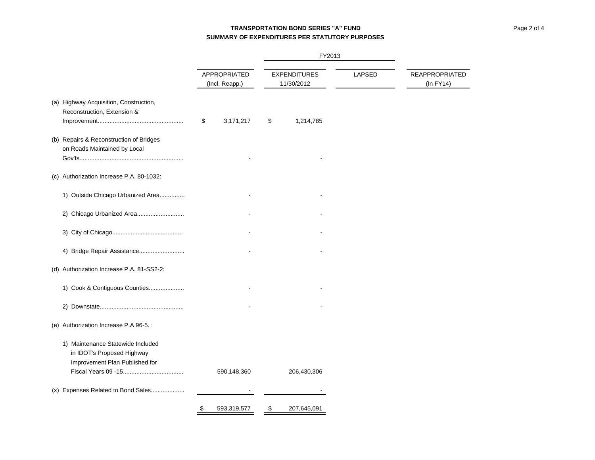# **TRANSPORTATION BOND SERIES "A" FUNDSUMMARY OF EXPENDITURES PER STATUTORY PURPOSES**

|                                                                                                   |                                |                                   | FY2013 |                                    |
|---------------------------------------------------------------------------------------------------|--------------------------------|-----------------------------------|--------|------------------------------------|
|                                                                                                   | APPROPRIATED<br>(Incl. Reapp.) | <b>EXPENDITURES</b><br>11/30/2012 | LAPSED | <b>REAPPROPRIATED</b><br>(In FY14) |
| (a) Highway Acquisition, Construction,<br>Reconstruction, Extension &                             | \$<br>3,171,217                | \$<br>1,214,785                   |        |                                    |
| (b) Repairs & Reconstruction of Bridges<br>on Roads Maintained by Local                           |                                |                                   |        |                                    |
| (c) Authorization Increase P.A. 80-1032:                                                          |                                |                                   |        |                                    |
| 1) Outside Chicago Urbanized Area                                                                 |                                |                                   |        |                                    |
| 2) Chicago Urbanized Area                                                                         |                                |                                   |        |                                    |
|                                                                                                   |                                |                                   |        |                                    |
| 4) Bridge Repair Assistance                                                                       |                                |                                   |        |                                    |
| (d) Authorization Increase P.A. 81-SS2-2:                                                         |                                |                                   |        |                                    |
| 1) Cook & Contiguous Counties                                                                     |                                |                                   |        |                                    |
|                                                                                                   |                                |                                   |        |                                    |
| (e) Authorization Increase P.A 96-5. :                                                            |                                |                                   |        |                                    |
| 1) Maintenance Statewide Included<br>in IDOT's Proposed Highway<br>Improvement Plan Published for | 590,148,360                    | 206,430,306                       |        |                                    |
| (x) Expenses Related to Bond Sales                                                                |                                |                                   |        |                                    |
|                                                                                                   | 593,319,577<br>\$              | 207,645,091<br>\$                 |        |                                    |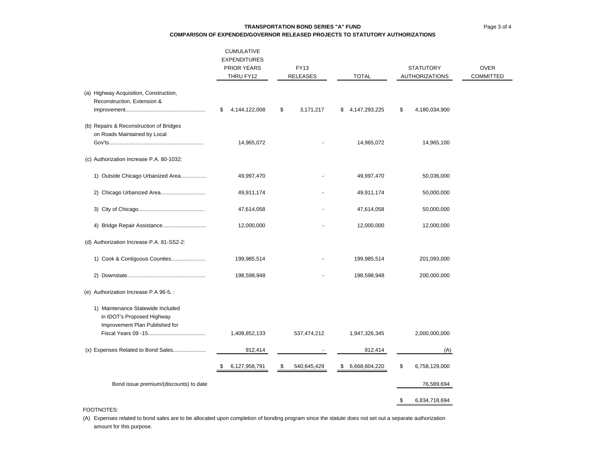Page 3 of 4

### **TRANSPORTATION BOND SERIES "A" FUNDCOMPARISON OF EXPENDED/GOVERNOR RELEASED PROJECTS TO STATUTORY AUTHORIZATIONS**

|                                                                                                   | CUMULATIVE<br><b>EXPENDITURES</b><br><b>PRIOR YEARS</b><br>THRU FY12 | FY13<br><b>RELEASES</b> | <b>TOTAL</b>           | <b>STATUTORY</b><br><b>AUTHORIZATIONS</b> | <b>OVER</b><br><b>COMMITTED</b> |
|---------------------------------------------------------------------------------------------------|----------------------------------------------------------------------|-------------------------|------------------------|-------------------------------------------|---------------------------------|
| (a) Highway Acquisition, Construction,<br>Reconstruction, Extension &                             |                                                                      |                         |                        |                                           |                                 |
|                                                                                                   | 4,144,122,008<br>\$                                                  | \$<br>3,171,217         | 4, 147, 293, 225<br>\$ | \$<br>4,180,034,900                       |                                 |
| (b) Repairs & Reconstruction of Bridges<br>on Roads Maintained by Local                           |                                                                      |                         |                        |                                           |                                 |
|                                                                                                   | 14,965,072                                                           |                         | 14,965,072             | 14,965,100                                |                                 |
| (c) Authorization Increase P.A. 80-1032:                                                          |                                                                      |                         |                        |                                           |                                 |
| 1) Outside Chicago Urbanized Area                                                                 | 49,997,470                                                           |                         | 49,997,470             | 50,036,000                                |                                 |
| 2) Chicago Urbanized Area                                                                         | 49,911,174                                                           |                         | 49,911,174             | 50,000,000                                |                                 |
|                                                                                                   | 47,614,058                                                           |                         | 47,614,058             | 50,000,000                                |                                 |
|                                                                                                   | 12,000,000                                                           |                         | 12,000,000             | 12,000,000                                |                                 |
| (d) Authorization Increase P.A. 81-SS2-2:                                                         |                                                                      |                         |                        |                                           |                                 |
| 1) Cook & Contiguous Counties                                                                     | 199,985,514                                                          |                         | 199,985,514            | 201,093,000                               |                                 |
|                                                                                                   | 198,598,948                                                          |                         | 198,598,948            | 200,000,000                               |                                 |
| (e) Authorization Increase P.A 96-5.:                                                             |                                                                      |                         |                        |                                           |                                 |
| 1) Maintenance Statewide Included<br>in IDOT's Proposed Highway<br>Improvement Plan Published for |                                                                      |                         |                        |                                           |                                 |
|                                                                                                   | 1,409,852,133                                                        | 537,474,212             | 1,947,326,345          | 2,000,000,000                             |                                 |
| (x) Expenses Related to Bond Sales                                                                | 912,414                                                              |                         | 912,414                | (A)                                       |                                 |
|                                                                                                   | 6,127,958,791<br>\$                                                  | 540,645,429<br>\$       | 6,668,604,220<br>\$    | \$<br>6,758,129,000                       |                                 |
| Bond issue premium/(discounts) to date                                                            |                                                                      |                         |                        | 76,589,694                                |                                 |
|                                                                                                   |                                                                      |                         |                        | 6,834,718,694<br>\$                       |                                 |

#### FOOTNOTES:

(A) Expenses related to bond sales are to be allocated upon completion of bonding program since the statute does not set out a separate authorization amount for this purpose.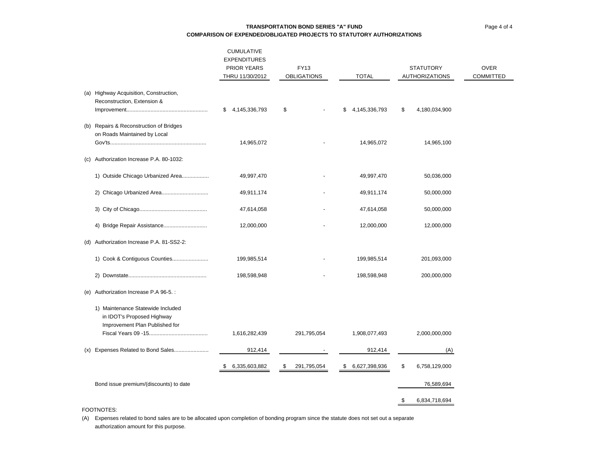Page 4 of 4

### **TRANSPORTATION BOND SERIES "A" FUNDCOMPARISON OF EXPENDED/OBLIGATED PROJECTS TO STATUTORY AUTHORIZATIONS**

|     |                                                                                                   | <b>CUMULATIVE</b><br><b>EXPENDITURES</b><br><b>PRIOR YEARS</b><br>THRU 11/30/2012 | FY13<br><b>OBLIGATIONS</b> | <b>TOTAL</b>        | <b>STATUTORY</b><br><b>AUTHORIZATIONS</b> | <b>OVER</b><br><b>COMMITTED</b> |
|-----|---------------------------------------------------------------------------------------------------|-----------------------------------------------------------------------------------|----------------------------|---------------------|-------------------------------------------|---------------------------------|
|     | (a) Highway Acquisition, Construction,<br>Reconstruction, Extension &                             |                                                                                   |                            |                     |                                           |                                 |
|     |                                                                                                   | \$4,145,336,793                                                                   | \$                         | 4,145,336,793<br>\$ | \$<br>4,180,034,900                       |                                 |
|     | (b) Repairs & Reconstruction of Bridges<br>on Roads Maintained by Local                           | 14,965,072                                                                        |                            | 14,965,072          | 14,965,100                                |                                 |
| (c) | Authorization Increase P.A. 80-1032:                                                              |                                                                                   |                            |                     |                                           |                                 |
|     | 1) Outside Chicago Urbanized Area                                                                 | 49,997,470                                                                        |                            | 49,997,470          | 50,036,000                                |                                 |
|     |                                                                                                   | 49,911,174                                                                        |                            | 49,911,174          | 50,000,000                                |                                 |
|     |                                                                                                   | 47,614,058                                                                        |                            | 47,614,058          | 50,000,000                                |                                 |
|     |                                                                                                   | 12,000,000                                                                        |                            | 12,000,000          | 12,000,000                                |                                 |
|     | (d) Authorization Increase P.A. 81-SS2-2:                                                         |                                                                                   |                            |                     |                                           |                                 |
|     | 1) Cook & Contiguous Counties                                                                     | 199,985,514                                                                       |                            | 199,985,514         | 201,093,000                               |                                 |
|     |                                                                                                   | 198,598,948                                                                       |                            | 198,598,948         | 200,000,000                               |                                 |
| (e) | Authorization Increase P.A 96-5.:                                                                 |                                                                                   |                            |                     |                                           |                                 |
|     | 1) Maintenance Statewide Included<br>in IDOT's Proposed Highway<br>Improvement Plan Published for |                                                                                   |                            |                     |                                           |                                 |
|     |                                                                                                   | 1,616,282,439                                                                     | 291,795,054                | 1,908,077,493       | 2,000,000,000                             |                                 |
|     | (x) Expenses Related to Bond Sales                                                                | 912,414                                                                           |                            | 912,414             | (A)                                       |                                 |
|     |                                                                                                   | 6,335,603,882<br>\$                                                               | 291,795,054<br>-\$         | 6,627,398,936<br>\$ | \$<br>6,758,129,000                       |                                 |
|     | Bond issue premium/(discounts) to date                                                            |                                                                                   |                            |                     | 76,589,694                                |                                 |
|     |                                                                                                   |                                                                                   |                            |                     | 6,834,718,694<br>\$                       |                                 |

#### FOOTNOTES:

(A) Expenses related to bond sales are to be allocated upon completion of bonding program since the statute does not set out a separate authorization amount for this purpose.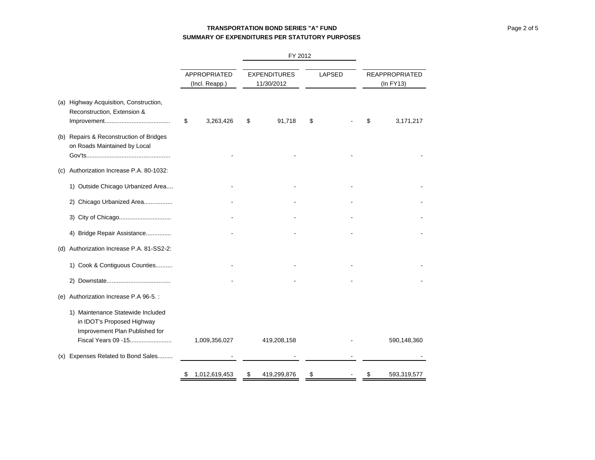# **TRANSPORTATION BOND SERIES "A" FUNDSUMMARY OF EXPENDITURES PER STATUTORY PURPOSES**

|     |                                                                                                                          |    |                                       |    |                                   | FY 2012 |               |    |                                    |
|-----|--------------------------------------------------------------------------------------------------------------------------|----|---------------------------------------|----|-----------------------------------|---------|---------------|----|------------------------------------|
|     |                                                                                                                          |    | <b>APPROPRIATED</b><br>(Incl. Reapp.) |    | <b>EXPENDITURES</b><br>11/30/2012 |         | <b>LAPSED</b> |    | <b>REAPPROPRIATED</b><br>(In FY13) |
|     | (a) Highway Acquisition, Construction,<br>Reconstruction, Extension &                                                    | \$ | 3,263,426                             | S  | 91,718                            | \$      |               | \$ | 3,171,217                          |
|     | (b) Repairs & Reconstruction of Bridges<br>on Roads Maintained by Local                                                  |    |                                       |    |                                   |         |               |    |                                    |
| (C) | Authorization Increase P.A. 80-1032:                                                                                     |    |                                       |    |                                   |         |               |    |                                    |
|     | 1) Outside Chicago Urbanized Area                                                                                        |    |                                       |    |                                   |         |               |    |                                    |
|     | 2) Chicago Urbanized Area                                                                                                |    |                                       |    |                                   |         |               |    |                                    |
|     |                                                                                                                          |    |                                       |    |                                   |         |               |    |                                    |
|     | 4) Bridge Repair Assistance                                                                                              |    |                                       |    |                                   |         |               |    |                                    |
| (d) | Authorization Increase P.A. 81-SS2-2:                                                                                    |    |                                       |    |                                   |         |               |    |                                    |
|     | 1) Cook & Contiguous Counties                                                                                            |    |                                       |    |                                   |         |               |    |                                    |
|     |                                                                                                                          |    |                                       |    |                                   |         |               |    |                                    |
|     | (e) Authorization Increase P.A 96-5.:                                                                                    |    |                                       |    |                                   |         |               |    |                                    |
|     | 1) Maintenance Statewide Included<br>in IDOT's Proposed Highway<br>Improvement Plan Published for<br>Fiscal Years 09 -15 |    | 1,009,356,027                         |    | 419,208,158                       |         |               |    | 590,148,360                        |
|     | (x) Expenses Related to Bond Sales                                                                                       |    |                                       |    |                                   |         |               |    |                                    |
|     |                                                                                                                          | \$ | 1,012,619,453                         | \$ | 419,299,876                       | \$      |               | \$ | 593,319,577                        |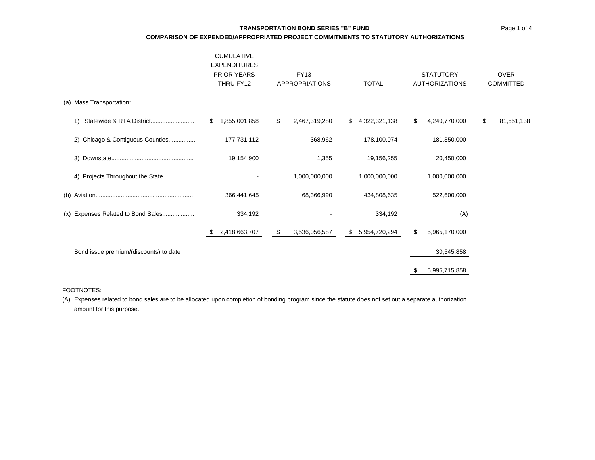### **TRANSPORTATION BOND SERIES "B" FUND**

**COMPARISON OF EXPENDED/APPROPRIATED PROJECT COMMITMENTS TO STATUTORY AUTHORIZATIONS**

|                                        | <b>CUMULATIVE</b><br><b>EXPENDITURES</b><br><b>PRIOR YEARS</b><br>THRU FY12 | <b>FY13</b><br><b>APPROPRIATIONS</b> | <b>TOTAL</b>        | <b>STATUTORY</b><br><b>AUTHORIZATIONS</b> | <b>OVER</b><br><b>COMMITTED</b> |
|----------------------------------------|-----------------------------------------------------------------------------|--------------------------------------|---------------------|-------------------------------------------|---------------------------------|
| (a) Mass Transportation:               |                                                                             |                                      |                     |                                           |                                 |
| 1)                                     | 1,855,001,858<br>\$.                                                        | \$<br>2,467,319,280                  | \$<br>4,322,321,138 | \$<br>4,240,770,000                       | \$<br>81,551,138                |
| Chicago & Contiguous Counties<br>2)    | 177,731,112                                                                 | 368,962                              | 178,100,074         | 181,350,000                               |                                 |
| 3)                                     | 19,154,900                                                                  | 1,355                                | 19,156,255          | 20,450,000                                |                                 |
| 4) Projects Throughout the State       |                                                                             | 1,000,000,000                        | 1,000,000,000       | 1,000,000,000                             |                                 |
|                                        | 366,441,645                                                                 | 68,366,990                           | 434,808,635         | 522,600,000                               |                                 |
| (x) Expenses Related to Bond Sales     | 334,192                                                                     |                                      | 334,192             | (A)                                       |                                 |
|                                        | 2,418,663,707<br>P.                                                         | \$<br>3,536,056,587                  | \$<br>5,954,720,294 | \$<br>5,965,170,000                       |                                 |
| Bond issue premium/(discounts) to date |                                                                             |                                      |                     | 30,545,858                                |                                 |
|                                        |                                                                             |                                      |                     | 5,995,715,858                             |                                 |

#### FOOTNOTES:

(A) Expenses related to bond sales are to be allocated upon completion of bonding program since the statute does not set out a separate authorization amount for this purpose.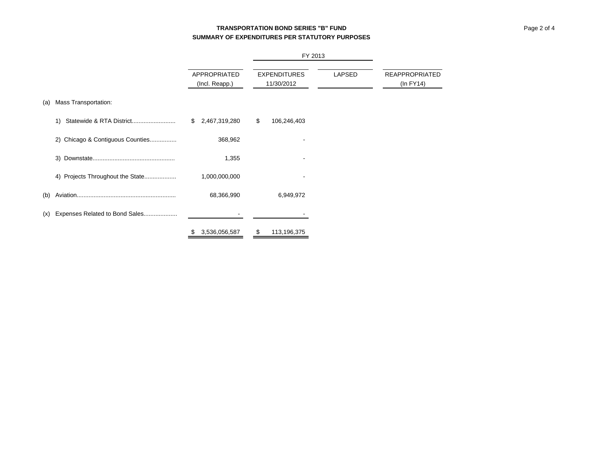# **TRANSPORTATION BOND SERIES "B" FUNDSUMMARY OF EXPENDITURES PER STATUTORY PURPOSES**

|     |                                  |                                |    |                                   | FY 2013 |                                    |  |  |
|-----|----------------------------------|--------------------------------|----|-----------------------------------|---------|------------------------------------|--|--|
|     |                                  | APPROPRIATED<br>(Incl. Reapp.) |    | <b>EXPENDITURES</b><br>11/30/2012 | LAPSED  | <b>REAPPROPRIATED</b><br>(In FY14) |  |  |
| (a) | Mass Transportation:             |                                |    |                                   |         |                                    |  |  |
|     | 1)                               | \$2,467,319,280                | \$ | 106,246,403                       |         |                                    |  |  |
|     | 2) Chicago & Contiguous Counties | 368,962                        |    |                                   |         |                                    |  |  |
|     | 3)                               | 1,355                          |    |                                   |         |                                    |  |  |
|     | 4) Projects Throughout the State | 1,000,000,000                  |    |                                   |         |                                    |  |  |
| (b) |                                  | 68,366,990                     |    | 6,949,972                         |         |                                    |  |  |
| (x) | Expenses Related to Bond Sales   |                                |    |                                   |         |                                    |  |  |
|     |                                  | 3,536,056,587                  | \$ | 113,196,375                       |         |                                    |  |  |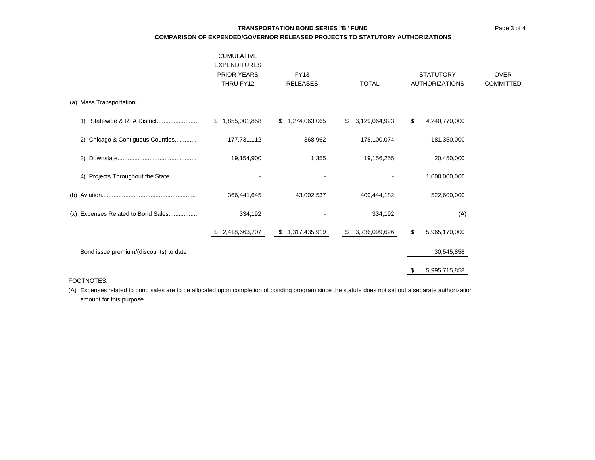# **TRANSPORTATION BOND SERIES "B" FUNDCOMPARISON OF EXPENDED/GOVERNOR RELEASED PROJECTS TO STATUTORY AUTHORIZATIONS**

|                                        | <b>CUMULATIVE</b><br><b>EXPENDITURES</b><br><b>PRIOR YEARS</b><br>THRU FY12 | <b>FY13</b><br><b>RELEASES</b> | <b>TOTAL</b>        | <b>STATUTORY</b><br><b>AUTHORIZATIONS</b> | <b>OVER</b><br>COMMITTED |
|----------------------------------------|-----------------------------------------------------------------------------|--------------------------------|---------------------|-------------------------------------------|--------------------------|
| (a) Mass Transportation:               |                                                                             |                                |                     |                                           |                          |
| Statewide & RTA District<br>1)         | \$1,855,001,858                                                             | \$1,274,063,065                | 3,129,064,923<br>\$ | \$<br>4,240,770,000                       |                          |
| 2) Chicago & Contiguous Counties       | 177,731,112                                                                 | 368,962                        | 178,100,074         | 181,350,000                               |                          |
|                                        | 19,154,900                                                                  | 1,355                          | 19,156,255          | 20,450,000                                |                          |
| 4) Projects Throughout the State       |                                                                             |                                |                     | 1,000,000,000                             |                          |
| (b)                                    | 366,441,645                                                                 | 43,002,537                     | 409,444,182         | 522,600,000                               |                          |
| (x) Expenses Related to Bond Sales     | 334,192                                                                     |                                | 334,192             | (A)                                       |                          |
|                                        | \$ 2,418,663,707                                                            | \$1,317,435,919                | 3,736,099,626<br>\$ | \$<br>5,965,170,000                       |                          |
| Bond issue premium/(discounts) to date |                                                                             |                                |                     | 30,545,858                                |                          |
|                                        |                                                                             |                                |                     | 5,995,715,858                             |                          |

### FOOTNOTES:

(A) Expenses related to bond sales are to be allocated upon completion of bonding program since the statute does not set out a separate authorization amount for this purpose.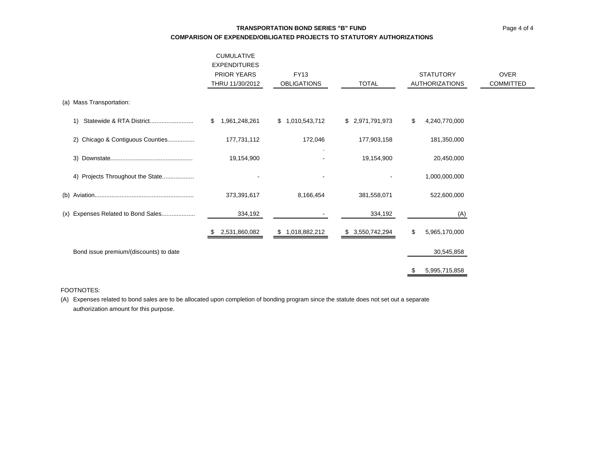# **TRANSPORTATION BOND SERIES "B" FUNDCOMPARISON OF EXPENDED/OBLIGATED PROJECTS TO STATUTORY AUTHORIZATIONS**

| <b>CUMULATIVE</b><br><b>EXPENDITURES</b><br><b>PRIOR YEARS</b><br>THRU 11/30/2012 | <b>FY13</b><br><b>OBLIGATIONS</b> | <b>TOTAL</b>     | <b>STATUTORY</b><br><b>AUTHORIZATIONS</b> | <b>OVER</b><br>COMMITTED |
|-----------------------------------------------------------------------------------|-----------------------------------|------------------|-------------------------------------------|--------------------------|
|                                                                                   |                                   |                  |                                           |                          |
| 1,961,248,261<br>\$                                                               | \$1,010,543,712                   | \$ 2,971,791,973 | \$<br>4,240,770,000                       |                          |
| 177,731,112                                                                       | 172,046                           | 177,903,158      | 181,350,000                               |                          |
| 19,154,900                                                                        |                                   | 19,154,900       | 20,450,000                                |                          |
|                                                                                   |                                   |                  | 1,000,000,000                             |                          |
| 373,391,617                                                                       | 8,166,454                         | 381,558,071      | 522,600,000                               |                          |
| 334,192                                                                           |                                   | 334,192          | (A)                                       |                          |
| 2,531,860,082                                                                     | \$1,018,882,212                   | \$ 3,550,742,294 | \$<br>5,965,170,000                       |                          |
|                                                                                   |                                   |                  | 30,545,858                                |                          |
|                                                                                   |                                   |                  | 5,995,715,858                             |                          |
|                                                                                   |                                   |                  |                                           |                          |

### FOOTNOTES:

(A) Expenses related to bond sales are to be allocated upon completion of bonding program since the statute does not set out a separate authorization amount for this purpose.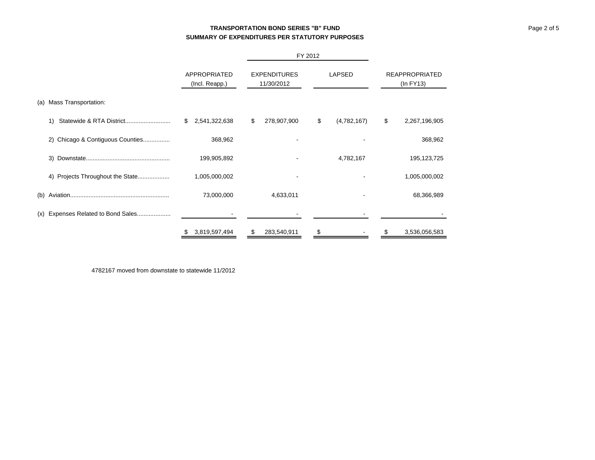# **TRANSPORTATION BOND SERIES "B" FUNDSUMMARY OF EXPENDITURES PER STATUTORY PURPOSES**

|                                    |                                | FY 2012                           |                   |                                         |
|------------------------------------|--------------------------------|-----------------------------------|-------------------|-----------------------------------------|
|                                    | APPROPRIATED<br>(Incl. Reapp.) | <b>EXPENDITURES</b><br>11/30/2012 | LAPSED            | <b>REAPPROPRIATED</b><br>$(ln$ FY13 $)$ |
| (a) Mass Transportation:           |                                |                                   |                   |                                         |
| Statewide & RTA District<br>1)     | 2,541,322,638<br>\$            | 278,907,900<br>\$                 | \$<br>(4,782,167) | \$<br>2,267,196,905                     |
| 2) Chicago & Contiguous Counties   | 368,962                        |                                   |                   | 368,962                                 |
| 3)                                 | 199,905,892                    |                                   | 4,782,167         | 195, 123, 725                           |
| 4)                                 | 1,005,000,002                  |                                   |                   | 1,005,000,002                           |
|                                    | 73,000,000                     | 4,633,011                         |                   | 68,366,989                              |
| (x) Expenses Related to Bond Sales |                                |                                   |                   |                                         |
|                                    | 3,819,597,494<br>S.            | 283,540,911<br>\$                 | \$                | 3,536,056,583<br>S                      |

4782167 moved from downstate to statewide 11/2012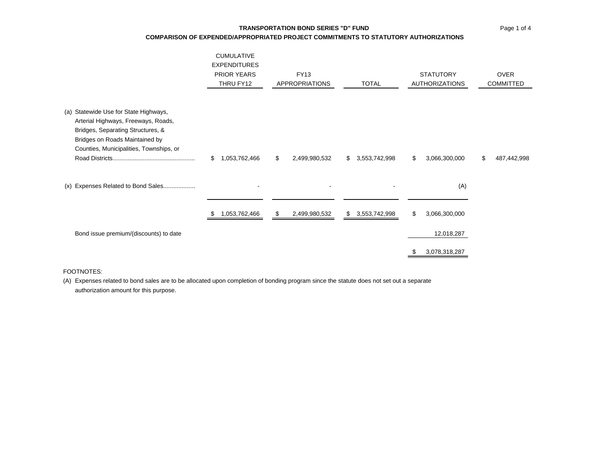### **TRANSPORTATION BOND SERIES "D" FUND**

### **COMPARISON OF EXPENDED/APPROPRIATED PROJECT COMMITMENTS TO STATUTORY AUTHORIZATIONS**

|                                                                                                                                                                                                | <b>CUMULATIVE</b><br><b>EXPENDITURES</b><br><b>PRIOR YEARS</b><br>THRU FY12 | <b>FY13</b><br>APPROPRIATIONS | <b>TOTAL</b>        | <b>STATUTORY</b><br><b>AUTHORIZATIONS</b> | <b>OVER</b><br><b>COMMITTED</b> |
|------------------------------------------------------------------------------------------------------------------------------------------------------------------------------------------------|-----------------------------------------------------------------------------|-------------------------------|---------------------|-------------------------------------------|---------------------------------|
| (a) Statewide Use for State Highways,<br>Arterial Highways, Freeways, Roads,<br>Bridges, Separating Structures, &<br>Bridges on Roads Maintained by<br>Counties, Municipalities, Townships, or | \$<br>1,053,762,466                                                         | \$<br>2,499,980,532           | 3,553,742,998<br>\$ | \$<br>3,066,300,000                       | \$<br>487,442,998               |
| (x) Expenses Related to Bond Sales                                                                                                                                                             | $\blacksquare$                                                              |                               | $\blacksquare$      | (A)                                       |                                 |
|                                                                                                                                                                                                | 1,053,762,466                                                               | \$<br>2,499,980,532           | \$<br>3,553,742,998 | \$<br>3,066,300,000                       |                                 |
| Bond issue premium/(discounts) to date                                                                                                                                                         |                                                                             |                               |                     | 12,018,287                                |                                 |
|                                                                                                                                                                                                |                                                                             |                               |                     | 3,078,318,287                             |                                 |

### FOOTNOTES:

(A) Expenses related to bond sales are to be allocated upon completion of bonding program since the statute does not set out a separate authorization amount for this purpose.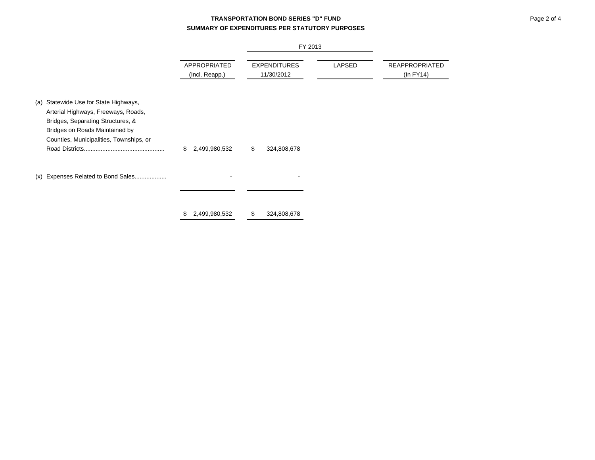# **TRANSPORTATION BOND SERIES "D" FUNDSUMMARY OF EXPENDITURES PER STATUTORY PURPOSES**

|                                                                                                                                                                                                   |                                | FY 2013                           |        |                                         |
|---------------------------------------------------------------------------------------------------------------------------------------------------------------------------------------------------|--------------------------------|-----------------------------------|--------|-----------------------------------------|
|                                                                                                                                                                                                   | APPROPRIATED<br>(Incl. Reapp.) | <b>EXPENDITURES</b><br>11/30/2012 | LAPSED | <b>REAPPROPRIATED</b><br>$(ln$ FY14 $)$ |
| Statewide Use for State Highways,<br>(a)<br>Arterial Highways, Freeways, Roads,<br>Bridges, Separating Structures, &<br>Bridges on Roads Maintained by<br>Counties, Municipalities, Townships, or | \$<br>2,499,980,532            | \$<br>324,808,678                 |        |                                         |
| Expenses Related to Bond Sales<br>(x)                                                                                                                                                             |                                |                                   |        |                                         |
|                                                                                                                                                                                                   | 2,499,980,532<br>\$            | 324,808,678<br>S                  |        |                                         |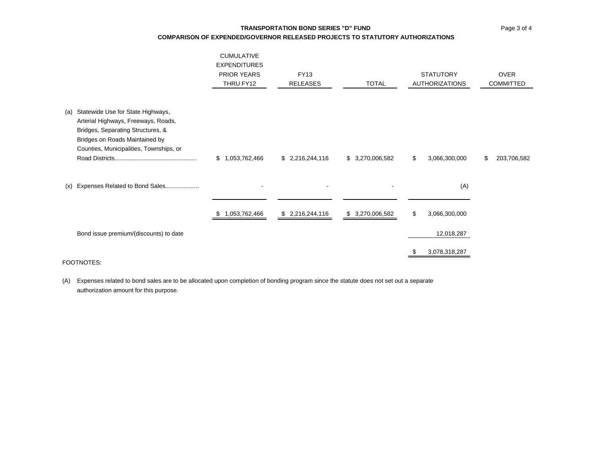### **TRANSPORTATION BOND SERIES "D" FUND**

### **COMPARISON OF EXPENDED/GOVERNOR RELEASED PROJECTS TO STATUTORY AUTHORIZATIONS**

|                                                                                                                                                                                                   | <b>CUMULATIVE</b><br><b>EXPENDITURES</b><br><b>PRIOR YEARS</b><br>THRU FY12 | <b>FY13</b><br><b>RELEASES</b> | <b>TOTAL</b>        | <b>STATUTORY</b><br><b>AUTHORIZATIONS</b> | <b>OVER</b><br>COMMITTED |  |
|---------------------------------------------------------------------------------------------------------------------------------------------------------------------------------------------------|-----------------------------------------------------------------------------|--------------------------------|---------------------|-------------------------------------------|--------------------------|--|
| Statewide Use for State Highways,<br>(a)<br>Arterial Highways, Freeways, Roads,<br>Bridges, Separating Structures, &<br>Bridges on Roads Maintained by<br>Counties, Municipalities, Townships, or | \$1,053,762,466                                                             | \$2,216,244,116                | \$ 3,270,006,582    | \$<br>3,066,300,000                       | 203,706,582<br>\$        |  |
| Expenses Related to Bond Sales<br>(x)                                                                                                                                                             |                                                                             |                                |                     | (A)<br>\$                                 |                          |  |
| Bond issue premium/(discounts) to date                                                                                                                                                            | 1,053,762,466                                                               | \$2,216,244,116                | 3,270,006,582<br>S. | 3,066,300,000<br>12,018,287               |                          |  |
| FOOTNOTES:                                                                                                                                                                                        |                                                                             |                                |                     | 3,078,318,287                             |                          |  |

(A) Expenses related to bond sales are to be allocated upon completion of bonding program since the statute does not set out a separate authorization amount for this purpose.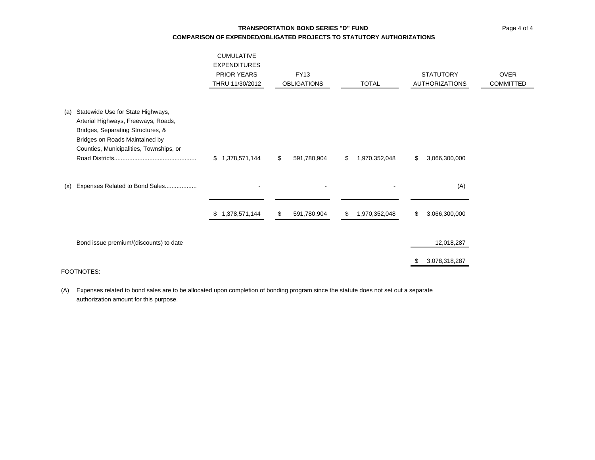# **TRANSPORTATION BOND SERIES "D" FUNDCOMPARISON OF EXPENDED/OBLIGATED PROJECTS TO STATUTORY AUTHORIZATIONS**

|     |                                                                                                                                                                                            | <b>CUMULATIVE</b><br><b>EXPENDITURES</b><br><b>PRIOR YEARS</b><br>THRU 11/30/2012 | <b>FY13</b><br><b>OBLIGATIONS</b> | <b>TOTAL</b>        | <b>STATUTORY</b><br><b>AUTHORIZATIONS</b> | <b>OVER</b><br>COMMITTED |
|-----|--------------------------------------------------------------------------------------------------------------------------------------------------------------------------------------------|-----------------------------------------------------------------------------------|-----------------------------------|---------------------|-------------------------------------------|--------------------------|
| (a) | Statewide Use for State Highways,<br>Arterial Highways, Freeways, Roads,<br>Bridges, Separating Structures, &<br>Bridges on Roads Maintained by<br>Counties, Municipalities, Townships, or | \$1,378,571,144                                                                   | 591,780,904<br>\$                 | 1,970,352,048<br>\$ | 3,066,300,000<br>\$                       |                          |
| (x) | Expenses Related to Bond Sales                                                                                                                                                             | $\overline{\phantom{a}}$                                                          |                                   | $\blacksquare$      | (A)                                       |                          |
|     |                                                                                                                                                                                            | 1,378,571,144                                                                     | 591,780,904<br>\$                 | 1,970,352,048<br>\$ | \$<br>3,066,300,000                       |                          |
|     | Bond issue premium/(discounts) to date                                                                                                                                                     |                                                                                   |                                   |                     | 12,018,287                                |                          |
|     |                                                                                                                                                                                            |                                                                                   |                                   |                     | 3,078,318,287                             |                          |

### FOOTNOTES:

(A) Expenses related to bond sales are to be allocated upon completion of bonding program since the statute does not set out a separate authorization amount for this purpose.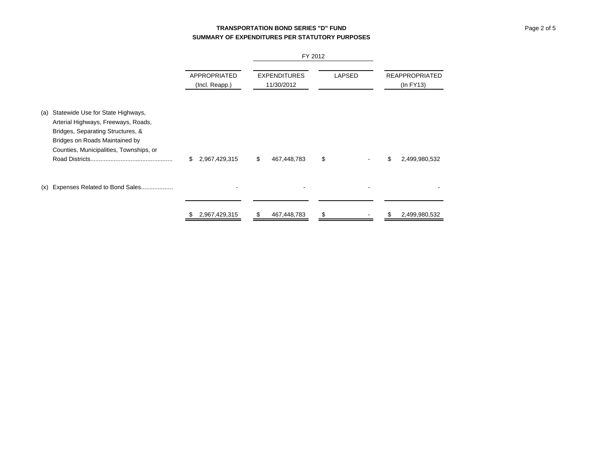# **TRANSPORTATION BOND SERIES "D" FUNDSUMMARY OF EXPENDITURES PER STATUTORY PURPOSES**

|     |                                                                                                                                                                                            |                                | FY 2012                           |               |                                         |
|-----|--------------------------------------------------------------------------------------------------------------------------------------------------------------------------------------------|--------------------------------|-----------------------------------|---------------|-----------------------------------------|
|     |                                                                                                                                                                                            | APPROPRIATED<br>(Incl. Reapp.) | <b>EXPENDITURES</b><br>11/30/2012 | <b>LAPSED</b> | <b>REAPPROPRIATED</b><br>$(ln$ FY13 $)$ |
| (a) | Statewide Use for State Highways,<br>Arterial Highways, Freeways, Roads,<br>Bridges, Separating Structures, &<br>Bridges on Roads Maintained by<br>Counties, Municipalities, Townships, or | \$<br>2,967,429,315            | 467,448,783<br>\$                 | \$            | \$<br>2,499,980,532                     |
| (x) | Expenses Related to Bond Sales                                                                                                                                                             |                                |                                   |               |                                         |
|     |                                                                                                                                                                                            | 2,967,429,315                  | 467,448,783<br>S                  | \$            | 2,499,980,532                           |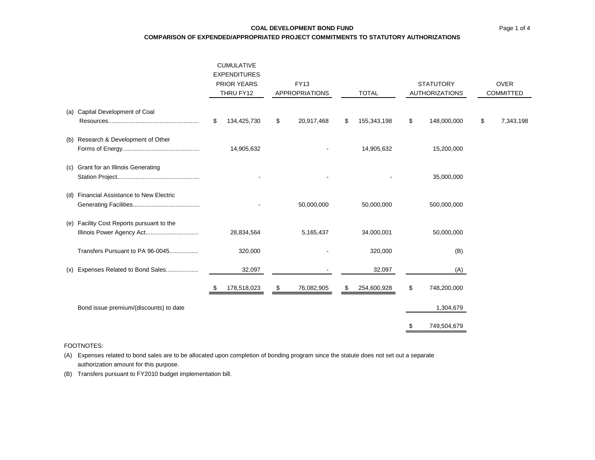### **COAL DEVELOPMENT BOND FUND**

**COMPARISON OF EXPENDED/APPROPRIATED PROJECT COMMITMENTS TO STATUTORY AUTHORIZATIONS**

|     |                                                                        | <b>CUMULATIVE</b><br><b>EXPENDITURES</b><br><b>PRIOR YEARS</b><br>THRU FY12 |             | <b>FY13</b><br><b>APPROPRIATIONS</b> |            | <b>TOTAL</b> |             | <b>STATUTORY</b><br><b>AUTHORIZATIONS</b> |             | <b>OVER</b><br><b>COMMITTED</b> |           |
|-----|------------------------------------------------------------------------|-----------------------------------------------------------------------------|-------------|--------------------------------------|------------|--------------|-------------|-------------------------------------------|-------------|---------------------------------|-----------|
|     | (a) Capital Development of Coal                                        | \$                                                                          | 134,425,730 | \$                                   | 20,917,468 | \$           | 155,343,198 | \$                                        | 148,000,000 | \$                              | 7,343,198 |
|     | (b) Research & Development of Other                                    |                                                                             | 14,905,632  |                                      |            |              | 14,905,632  |                                           | 15,200,000  |                                 |           |
|     | (c) Grant for an Illinois Generating                                   |                                                                             |             |                                      |            |              |             |                                           | 35,000,000  |                                 |           |
|     | (d) Financial Assistance to New Electric                               |                                                                             |             |                                      | 50,000,000 |              | 50,000,000  |                                           | 500,000,000 |                                 |           |
|     | (e) Facility Cost Reports pursuant to the<br>Illinois Power Agency Act |                                                                             | 28,834,564  |                                      | 5,165,437  |              | 34,000,001  |                                           | 50,000,000  |                                 |           |
|     | Transfers Pursuant to PA 96-0045                                       |                                                                             | 320,000     |                                      |            |              | 320,000     |                                           | (B)         |                                 |           |
| (x) | Expenses Related to Bond Sales                                         |                                                                             | 32,097      |                                      |            |              | 32,097      |                                           | (A)         |                                 |           |
|     |                                                                        |                                                                             | 178,518,023 | \$                                   | 76,082,905 | \$           | 254,600,928 | \$                                        | 748,200,000 |                                 |           |
|     | Bond issue premium/(discounts) to date                                 |                                                                             |             |                                      |            |              |             |                                           | 1,304,679   |                                 |           |
|     |                                                                        |                                                                             |             |                                      |            |              |             | \$                                        | 749,504,679 |                                 |           |

#### FOOTNOTES:

(A) Expenses related to bond sales are to be allocated upon completion of bonding program since the statute does not set out a separate authorization amount for this purpose.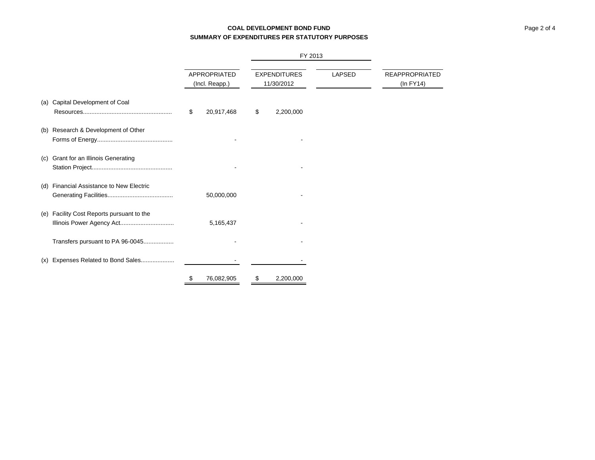# **COAL DEVELOPMENT BOND FUNDSUMMARY OF EXPENDITURES PER STATUTORY PURPOSES**

|     |                                                                    |                                |    | FY 2013                           |        |                                         |
|-----|--------------------------------------------------------------------|--------------------------------|----|-----------------------------------|--------|-----------------------------------------|
|     |                                                                    | APPROPRIATED<br>(Incl. Reapp.) |    | <b>EXPENDITURES</b><br>11/30/2012 | LAPSED | <b>REAPPROPRIATED</b><br>$(ln$ FY14 $)$ |
| (a) | Capital Development of Coal                                        | \$<br>20,917,468               | \$ | 2,200,000                         |        |                                         |
| (b) | Research & Development of Other                                    |                                |    |                                   |        |                                         |
| (c) | Grant for an Illinois Generating                                   |                                |    |                                   |        |                                         |
| (d) | <b>Financial Assistance to New Electric</b>                        | 50,000,000                     |    |                                   |        |                                         |
| (e) | Facility Cost Reports pursuant to the<br>Illinois Power Agency Act | 5,165,437                      |    |                                   |        |                                         |
|     | Transfers pursuant to PA 96-0045                                   |                                |    |                                   |        |                                         |
| (x) | Expenses Related to Bond Sales                                     |                                |    |                                   |        |                                         |
|     |                                                                    | \$<br>76,082,905               | \$ | 2,200,000                         |        |                                         |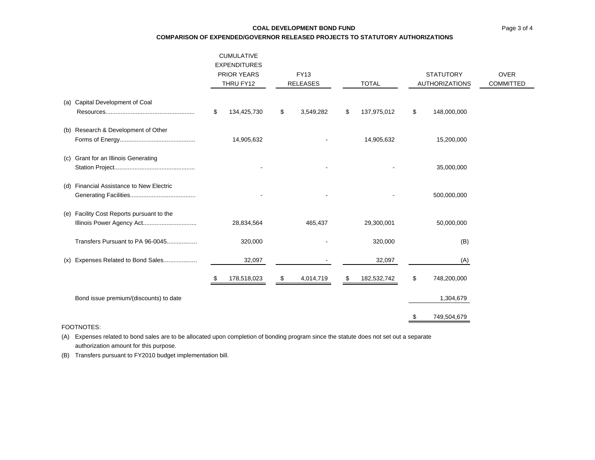### **COAL DEVELOPMENT BOND FUND**

**COMPARISON OF EXPENDED/GOVERNOR RELEASED PROJECTS TO STATUTORY AUTHORIZATIONS**

|                                                                        | <b>CUMULATIVE</b><br><b>EXPENDITURES</b><br><b>PRIOR YEARS</b><br>THRU FY12 |             | <b>FY13</b><br><b>RELEASES</b> |           | <b>TOTAL</b> |             | <b>STATUTORY</b><br><b>AUTHORIZATIONS</b> |             | <b>OVER</b><br><b>COMMITTED</b> |
|------------------------------------------------------------------------|-----------------------------------------------------------------------------|-------------|--------------------------------|-----------|--------------|-------------|-------------------------------------------|-------------|---------------------------------|
| (a) Capital Development of Coal                                        | \$                                                                          | 134,425,730 | \$                             | 3,549,282 | S            | 137,975,012 | \$                                        | 148,000,000 |                                 |
|                                                                        |                                                                             |             |                                |           |              |             |                                           |             |                                 |
| (b) Research & Development of Other                                    |                                                                             | 14,905,632  |                                |           |              | 14,905,632  |                                           | 15,200,000  |                                 |
| (c) Grant for an Illinois Generating                                   |                                                                             |             |                                |           |              |             |                                           | 35,000,000  |                                 |
| (d) Financial Assistance to New Electric                               |                                                                             |             |                                |           |              |             |                                           | 500,000,000 |                                 |
| (e) Facility Cost Reports pursuant to the<br>Illinois Power Agency Act |                                                                             | 28,834,564  |                                | 465,437   |              | 29,300,001  |                                           | 50,000,000  |                                 |
| Transfers Pursuant to PA 96-0045                                       |                                                                             | 320,000     |                                |           |              | 320,000     |                                           | (B)         |                                 |
| (x) Expenses Related to Bond Sales                                     |                                                                             | 32,097      |                                |           |              | 32,097      |                                           | (A)         |                                 |
|                                                                        | S.                                                                          | 178,518,023 | S.                             | 4,014,719 | S.           | 182,532,742 | \$                                        | 748,200,000 |                                 |
| Bond issue premium/(discounts) to date                                 |                                                                             |             |                                |           |              |             |                                           | 1,304,679   |                                 |
|                                                                        |                                                                             |             |                                |           |              |             |                                           | 749,504,679 |                                 |

FOOTNOTES:

(A) Expenses related to bond sales are to be allocated upon completion of bonding program since the statute does not set out a separate authorization amount for this purpose.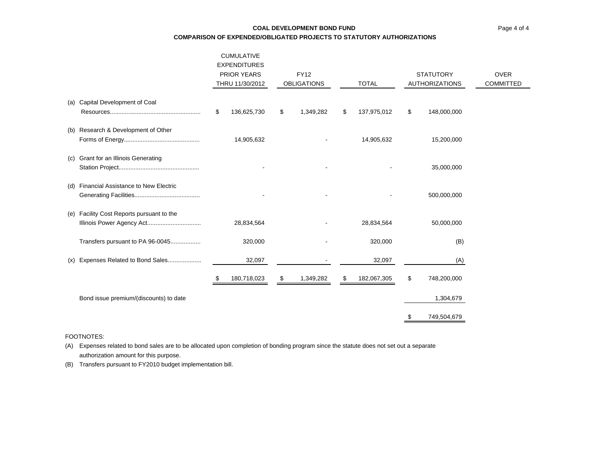# **COAL DEVELOPMENT BOND FUNDCOMPARISON OF EXPENDED/OBLIGATED PROJECTS TO STATUTORY AUTHORIZATIONS**

|     |                                             | <b>CUMULATIVE</b><br><b>EXPENDITURES</b><br><b>PRIOR YEARS</b><br>THRU 11/30/2012 |             | <b>FY12</b><br><b>OBLIGATIONS</b> |           | <b>TOTAL</b> |             | <b>STATUTORY</b><br><b>AUTHORIZATIONS</b> |             | <b>OVER</b><br><b>COMMITTED</b> |
|-----|---------------------------------------------|-----------------------------------------------------------------------------------|-------------|-----------------------------------|-----------|--------------|-------------|-------------------------------------------|-------------|---------------------------------|
|     | (a) Capital Development of Coal             | \$                                                                                | 136,625,730 | \$                                | 1,349,282 | \$           | 137,975,012 | \$                                        | 148,000,000 |                                 |
| (b) | Research & Development of Other             |                                                                                   | 14,905,632  |                                   |           |              | 14,905,632  |                                           | 15,200,000  |                                 |
| (C) | Grant for an Illinois Generating            |                                                                                   |             |                                   |           |              |             |                                           | 35,000,000  |                                 |
| (d) | <b>Financial Assistance to New Electric</b> |                                                                                   |             |                                   |           |              |             |                                           | 500,000,000 |                                 |
| (e) | Facility Cost Reports pursuant to the       |                                                                                   | 28,834,564  |                                   |           |              | 28,834,564  |                                           | 50,000,000  |                                 |
|     | Transfers pursuant to PA 96-0045            |                                                                                   | 320,000     |                                   |           |              | 320,000     |                                           | (B)         |                                 |
| (x) | Expenses Related to Bond Sales              |                                                                                   | 32,097      |                                   |           |              | 32,097      |                                           | (A)         |                                 |
|     |                                             | \$                                                                                | 180,718,023 | \$                                | 1,349,282 | \$           | 182,067,305 | \$                                        | 748,200,000 |                                 |
|     | Bond issue premium/(discounts) to date      |                                                                                   |             |                                   |           |              |             |                                           | 1,304,679   |                                 |
|     |                                             |                                                                                   |             |                                   |           |              |             | \$                                        | 749,504,679 |                                 |

### FOOTNOTES:

(A) Expenses related to bond sales are to be allocated upon completion of bonding program since the statute does not set out a separate authorization amount for this purpose.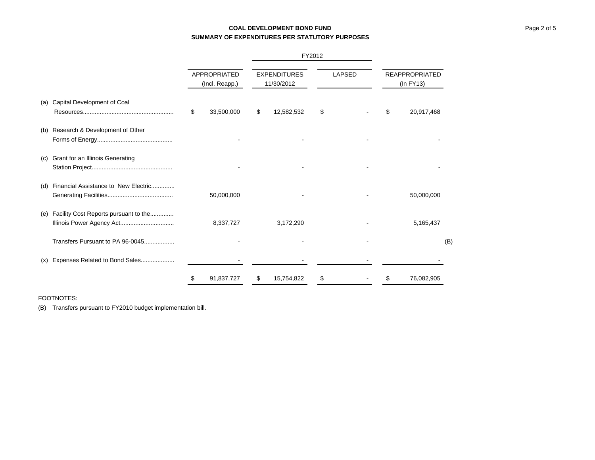# **COAL DEVELOPMENT BOND FUNDSUMMARY OF EXPENDITURES PER STATUTORY PURPOSES**

|     |                                                                    |                                |            |                                   |            | FY2012        |  |                                    |            |     |
|-----|--------------------------------------------------------------------|--------------------------------|------------|-----------------------------------|------------|---------------|--|------------------------------------|------------|-----|
|     |                                                                    | APPROPRIATED<br>(Incl. Reapp.) |            | <b>EXPENDITURES</b><br>11/30/2012 |            | <b>LAPSED</b> |  | <b>REAPPROPRIATED</b><br>(In FY13) |            |     |
| (a) | Capital Development of Coal                                        | \$                             | 33,500,000 | S                                 | 12,582,532 | \$            |  | \$                                 | 20,917,468 |     |
| (b) | Research & Development of Other                                    |                                |            |                                   |            |               |  |                                    |            |     |
| (c) | Grant for an Illinois Generating                                   |                                |            |                                   |            |               |  |                                    |            |     |
| (d) | Financial Assistance to New Electric                               |                                | 50,000,000 |                                   |            |               |  |                                    | 50,000,000 |     |
| (e) | Facility Cost Reports pursuant to the<br>Illinois Power Agency Act |                                | 8,337,727  |                                   | 3,172,290  |               |  |                                    | 5,165,437  |     |
|     | Transfers Pursuant to PA 96-0045                                   |                                |            |                                   |            |               |  |                                    |            | (B) |
| (x) | Expenses Related to Bond Sales                                     |                                |            |                                   |            |               |  |                                    |            |     |
|     |                                                                    | \$                             | 91,837,727 | \$                                | 15,754,822 | \$            |  |                                    | 76,082,905 |     |

### FOOTNOTES: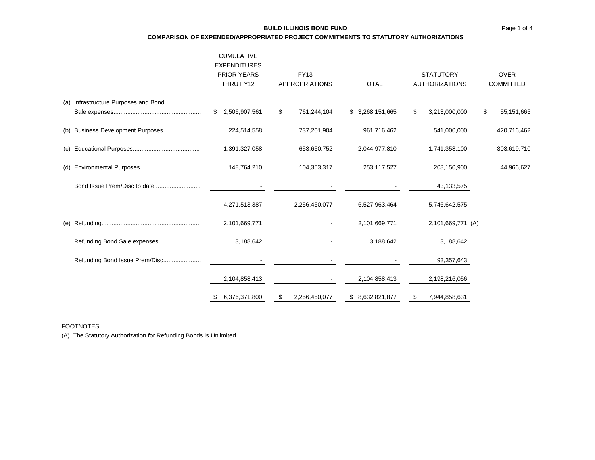### **BUILD ILLINOIS BOND FUND**

**COMPARISON OF EXPENDED/APPROPRIATED PROJECT COMMITMENTS TO STATUTORY AUTHORIZATIONS**

|                                      | <b>CUMULATIVE</b><br><b>EXPENDITURES</b><br><b>PRIOR YEARS</b><br>THRU FY12 | <b>FY13</b><br><b>APPROPRIATIONS</b> | <b>TOTAL</b>     | <b>STATUTORY</b><br><b>AUTHORIZATIONS</b> | <b>OVER</b><br><b>COMMITTED</b> |  |
|--------------------------------------|-----------------------------------------------------------------------------|--------------------------------------|------------------|-------------------------------------------|---------------------------------|--|
| (a) Infrastructure Purposes and Bond |                                                                             |                                      |                  |                                           |                                 |  |
|                                      | 2,506,907,561<br>S.                                                         | \$<br>761,244,104                    | \$3,268,151,665  | 3,213,000,000<br>\$                       | 55, 151, 665<br>\$              |  |
| (b) Business Development Purposes    | 224,514,558                                                                 | 737,201,904                          | 961,716,462      | 541,000,000                               | 420,716,462                     |  |
|                                      | 1,391,327,058                                                               | 653,650,752                          | 2,044,977,810    | 1,741,358,100                             | 303,619,710                     |  |
|                                      | 148,764,210                                                                 | 104,353,317                          | 253,117,527      | 208,150,900                               | 44,966,627                      |  |
|                                      |                                                                             |                                      |                  | 43,133,575                                |                                 |  |
|                                      | 4,271,513,387                                                               | 2,256,450,077                        | 6,527,963,464    | 5,746,642,575                             |                                 |  |
|                                      | 2,101,669,771                                                               |                                      | 2,101,669,771    | 2,101,669,771 (A)                         |                                 |  |
| Refunding Bond Sale expenses         | 3,188,642                                                                   |                                      | 3,188,642        | 3,188,642                                 |                                 |  |
| Refunding Bond Issue Prem/Disc       |                                                                             |                                      |                  | 93,357,643                                |                                 |  |
|                                      | 2,104,858,413                                                               |                                      | 2,104,858,413    | 2,198,216,056                             |                                 |  |
|                                      | 6,376,371,800                                                               | 2,256,450,077                        | \$ 8,632,821,877 | 7,944,858,631<br>\$                       |                                 |  |
|                                      |                                                                             |                                      |                  |                                           |                                 |  |

FOOTNOTES:

(A) The Statutory Authorization for Refunding Bonds is Unlimited.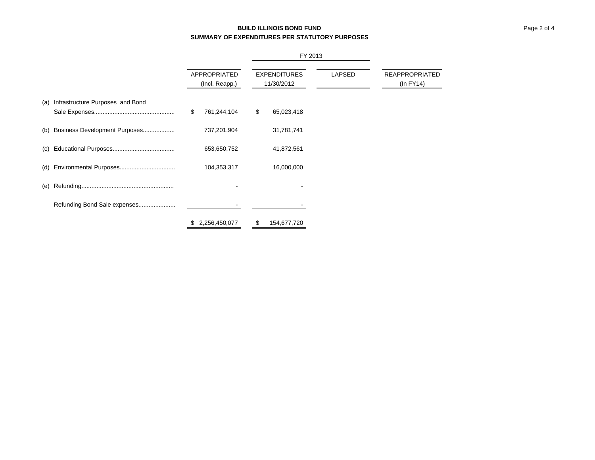# **BUILD ILLINOIS BOND FUNDSUMMARY OF EXPENDITURES PER STATUTORY PURPOSES**

|     |                                  |                                | FY 2013                           |        |                                         |
|-----|----------------------------------|--------------------------------|-----------------------------------|--------|-----------------------------------------|
|     |                                  | APPROPRIATED<br>(Incl. Reapp.) | <b>EXPENDITURES</b><br>11/30/2012 | LAPSED | <b>REAPPROPRIATED</b><br>$(ln$ FY14 $)$ |
| (a) | Infrastructure Purposes and Bond | \$<br>761,244,104              | \$<br>65,023,418                  |        |                                         |
| (b) | Business Development Purposes    | 737,201,904                    | 31,781,741                        |        |                                         |
| (c) |                                  | 653,650,752                    | 41,872,561                        |        |                                         |
| (d) |                                  | 104,353,317                    | 16,000,000                        |        |                                         |
| (e) |                                  |                                |                                   |        |                                         |
|     | Refunding Bond Sale expenses     |                                |                                   |        |                                         |
|     |                                  | \$<br>2,256,450,077            | \$<br>154,677,720                 |        |                                         |

Page 2 of 4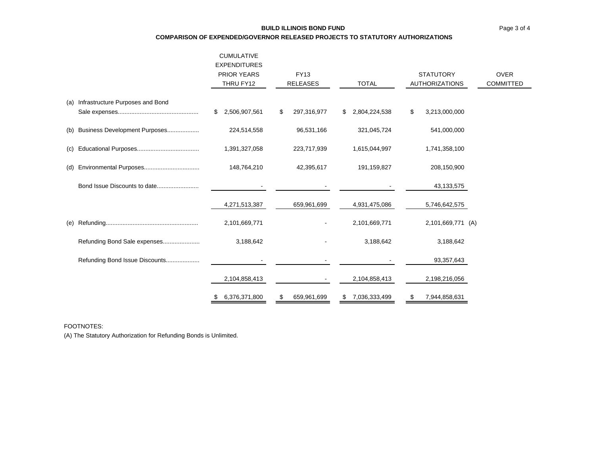### **BUILD ILLINOIS BOND FUND**

**COMPARISON OF EXPENDED/GOVERNOR RELEASED PROJECTS TO STATUTORY AUTHORIZATIONS**

|     |                                  | <b>CUMULATIVE</b><br><b>EXPENDITURES</b> |                   |                     |                       |             |
|-----|----------------------------------|------------------------------------------|-------------------|---------------------|-----------------------|-------------|
|     |                                  | <b>PRIOR YEARS</b>                       | <b>FY13</b>       |                     | <b>STATUTORY</b>      | <b>OVER</b> |
|     |                                  | THRU FY12                                | <b>RELEASES</b>   | <b>TOTAL</b>        | <b>AUTHORIZATIONS</b> | COMMITTED   |
| (a) | Infrastructure Purposes and Bond |                                          |                   |                     |                       |             |
|     |                                  | 2,506,907,561<br>\$                      | \$<br>297,316,977 | \$<br>2,804,224,538 | \$<br>3,213,000,000   |             |
| (b) | Business Development Purposes    | 224,514,558                              | 96,531,166        | 321,045,724         | 541,000,000           |             |
| (C) |                                  | 1,391,327,058                            | 223,717,939       | 1,615,044,997       | 1,741,358,100         |             |
| (d) |                                  | 148,764,210                              | 42,395,617        | 191,159,827         | 208,150,900           |             |
|     | Bond Issue Discounts to date     |                                          |                   |                     | 43, 133, 575          |             |
|     |                                  | 4,271,513,387                            | 659,961,699       | 4,931,475,086       | 5,746,642,575         |             |
| (e) |                                  | 2,101,669,771                            |                   | 2,101,669,771       | 2,101,669,771 (A)     |             |
|     | Refunding Bond Sale expenses     | 3,188,642                                |                   | 3,188,642           | 3,188,642             |             |
|     | Refunding Bond Issue Discounts   |                                          |                   |                     | 93,357,643            |             |
|     |                                  | 2,104,858,413                            |                   | 2,104,858,413       | 2,198,216,056         |             |
|     |                                  | 6,376,371,800                            | \$<br>659,961,699 | \$<br>7,036,333,499 | \$<br>7,944,858,631   |             |

FOOTNOTES:

(A) The Statutory Authorization for Refunding Bonds is Unlimited.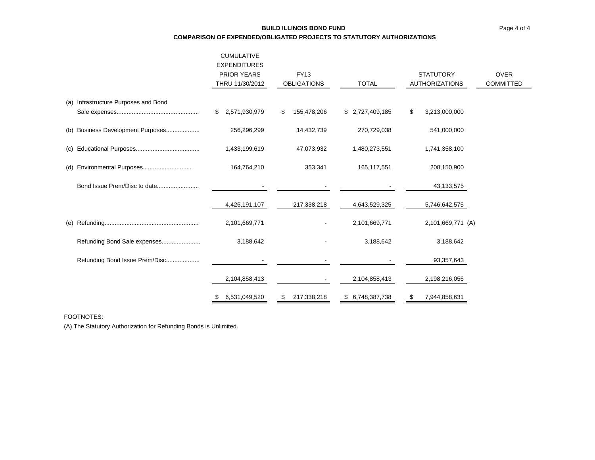# **BUILD ILLINOIS BOND FUNDCOMPARISON OF EXPENDED/OBLIGATED PROJECTS TO STATUTORY AUTHORIZATIONS**

|     |                                      | <b>CUMULATIVE</b><br><b>EXPENDITURES</b><br><b>PRIOR YEARS</b><br>THRU 11/30/2012 | <b>FY13</b><br><b>OBLIGATIONS</b> | <b>TOTAL</b>    | <b>STATUTORY</b><br><b>AUTHORIZATIONS</b> | <b>OVER</b><br><b>COMMITTED</b> |
|-----|--------------------------------------|-----------------------------------------------------------------------------------|-----------------------------------|-----------------|-------------------------------------------|---------------------------------|
|     | (a) Infrastructure Purposes and Bond |                                                                                   |                                   |                 |                                           |                                 |
|     |                                      | \$ 2,571,930,979                                                                  | 155,478,206<br>\$                 | \$2,727,409,185 | \$<br>3,213,000,000                       |                                 |
|     | (b) Business Development Purposes    | 256,296,299                                                                       | 14,432,739                        | 270,729,038     | 541,000,000                               |                                 |
| (c) |                                      | 1,433,199,619                                                                     | 47,073,932                        | 1,480,273,551   | 1,741,358,100                             |                                 |
|     |                                      | 164,764,210                                                                       | 353,341                           | 165,117,551     | 208,150,900                               |                                 |
|     | Bond Issue Prem/Disc to date         |                                                                                   |                                   |                 | 43,133,575                                |                                 |
|     |                                      | 4,426,191,107                                                                     | 217,338,218                       | 4,643,529,325   | 5,746,642,575                             |                                 |
|     |                                      | 2,101,669,771                                                                     |                                   | 2,101,669,771   | 2,101,669,771 (A)                         |                                 |
|     | Refunding Bond Sale expenses         | 3,188,642                                                                         |                                   | 3,188,642       | 3,188,642                                 |                                 |
|     | Refunding Bond Issue Prem/Disc       |                                                                                   |                                   |                 | 93,357,643                                |                                 |
|     |                                      | 2,104,858,413                                                                     |                                   | 2,104,858,413   | 2,198,216,056                             |                                 |
|     |                                      | 6,531,049,520                                                                     | 217,338,218<br>\$                 | \$6,748,387,738 | 7,944,858,631<br>\$                       |                                 |

FOOTNOTES:

(A) The Statutory Authorization for Refunding Bonds is Unlimited.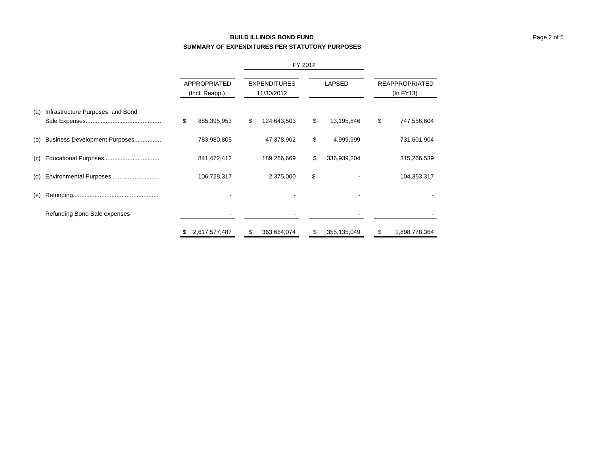# **BUILD ILLINOIS BOND FUNDSUMMARY OF EXPENDITURES PER STATUTORY PURPOSES**

|     |                                  | <b>APPROPRIATED</b><br>(Incl. Reapp.) |               | <b>EXPENDITURES</b><br>11/30/2012 | LAPSED            | <b>REAPPROPRIATED</b><br>$(ln$ FY13 $)$ |               |  |
|-----|----------------------------------|---------------------------------------|---------------|-----------------------------------|-------------------|-----------------------------------------|---------------|--|
| (a) | Infrastructure Purposes and Bond | \$                                    | 885,395,953   | \$<br>124,643,503                 | \$<br>13,195,846  | \$                                      | 747,556,604   |  |
| (b) | Business Development Purposes    |                                       | 783,980,805   | 47,378,902                        | \$<br>4,999,999   |                                         | 731,601,904   |  |
| (c) |                                  |                                       | 841,472,412   | 189,266,669                       | \$<br>336,939,204 |                                         | 315,266,539   |  |
|     |                                  |                                       | 106,728,317   | 2,375,000                         | \$                |                                         | 104,353,317   |  |
| (e) |                                  |                                       |               |                                   |                   |                                         |               |  |
|     | Refunding Bond Sale expenses     |                                       |               |                                   |                   |                                         |               |  |
|     |                                  | \$                                    | 2,617,577,487 | \$<br>363,664,074                 | \$<br>355,135,049 | \$                                      | 1,898,778,364 |  |

FY 2012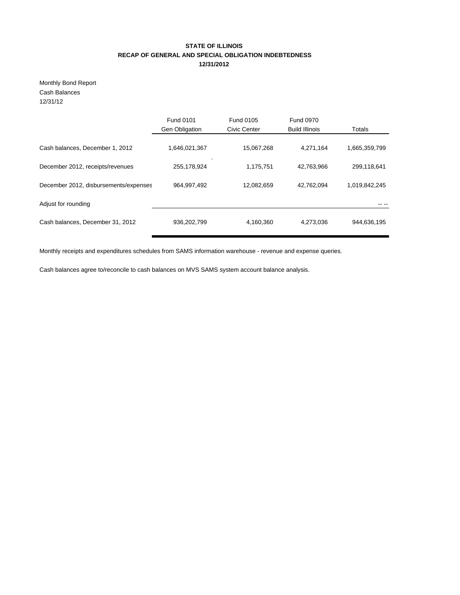# **STATE OF ILLINOIS RECAP OF GENERAL AND SPECIAL OBLIGATION INDEBTEDNESS 12/31/2012**

Monthly Bond Report Cash Balances 12/31/12

|                                       | <b>Fund 0101</b>      | <b>Fund 0105</b> | <b>Fund 0970</b>      |               |
|---------------------------------------|-----------------------|------------------|-----------------------|---------------|
|                                       | <b>Gen Obligation</b> | Civic Center     | <b>Build Illinois</b> | Totals        |
| Cash balances, December 1, 2012       | 1,646,021,367         | 15,067,268       | 4,271,164             | 1,665,359,799 |
| December 2012, receipts/revenues      | 255,178,924           | 1,175,751        | 42,763,966            | 299,118,641   |
| December 2012, disbursements/expenses | 964, 997, 492         | 12,082,659       | 42,762,094            | 1,019,842,245 |
| Adjust for rounding                   |                       |                  |                       |               |
| Cash balances, December 31, 2012      | 936,202,799           | 4,160,360        | 4,273,036             | 944,636,195   |

Monthly receipts and expenditures schedules from SAMS information warehouse - revenue and expense queries.

Cash balances agree to/reconcile to cash balances on MVS SAMS system account balance analysis.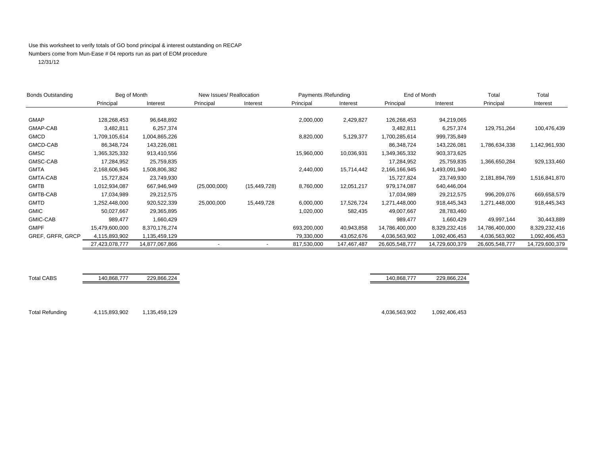### Use this worksheet to verify totals of GO bond principal & interest outstanding on RECAP Numbers come from Mun-Ease # 04 reports run as part of EOM procedure

12/31/12

| <b>Bonds Outstanding</b> |                | Beg of Month<br>New Issues/ Reallocation |              |                | Payments / Refunding |                       | End of Month   |                | Total          | Total          |  |
|--------------------------|----------------|------------------------------------------|--------------|----------------|----------------------|-----------------------|----------------|----------------|----------------|----------------|--|
|                          | Principal      | Interest                                 | Principal    | Interest       | Principal            | Principal<br>Interest |                | Interest       | Principal      | Interest       |  |
|                          |                |                                          |              |                |                      |                       |                |                |                |                |  |
| <b>GMAP</b>              | 128,268,453    | 96,648,892                               |              |                | 2,000,000            | 2,429,827             | 126,268,453    | 94,219,065     |                |                |  |
| GMAP-CAB                 | 3,482,811      | 6,257,374                                |              |                |                      |                       | 3,482,811      | 6,257,374      | 129,751,264    | 100,476,439    |  |
| <b>GMCD</b>              | 1,709,105,614  | 1,004,865,226                            |              |                | 8,820,000            | 5,129,377             | 1,700,285,614  | 999,735,849    |                |                |  |
| GMCD-CAB                 | 86,348,724     | 143,226,081                              |              |                |                      |                       | 86,348,724     | 143,226,081    | 1,786,634,338  | 1,142,961,930  |  |
| <b>GMSC</b>              | 1,365,325,332  | 913,410,556                              |              |                | 15,960,000           | 10,036,931            | 1,349,365,332  | 903,373,625    |                |                |  |
| GMSC-CAB                 | 17,284,952     | 25,759,835                               |              |                |                      |                       | 17,284,952     | 25,759,835     | 1,366,650,284  | 929,133,460    |  |
| <b>GMTA</b>              | 2,168,606,945  | 1,508,806,382                            |              |                | 2,440,000            | 15,714,442            | 2,166,166,945  | 1,493,091,940  |                |                |  |
| GMTA-CAB                 | 15,727,824     | 23,749,930                               |              |                |                      |                       | 15,727,824     | 23,749,930     | 2,181,894,769  | 1,516,841,870  |  |
| <b>GMTB</b>              | 1,012,934,087  | 667,946,949                              | (25,000,000) | (15, 449, 728) | 8,760,000            | 12,051,217            | 979,174,087    | 640,446,004    |                |                |  |
| GMTB-CAB                 | 17,034,989     | 29,212,575                               |              |                |                      |                       | 17,034,989     | 29,212,575     | 996,209,076    | 669,658,579    |  |
| <b>GMTD</b>              | 1,252,448,000  | 920,522,339                              | 25,000,000   | 15,449,728     | 6,000,000            | 17,526,724            | 1,271,448,000  | 918,445,343    | 1,271,448,000  | 918,445,343    |  |
| <b>GMIC</b>              | 50,027,667     | 29,365,895                               |              |                | 1,020,000            | 582,435               | 49,007,667     | 28,783,460     |                |                |  |
| GMIC-CAB                 | 989,477        | 1,660,429                                |              |                |                      |                       | 989,477        | 1,660,429      | 49,997,144     | 30,443,889     |  |
| <b>GMPF</b>              | 15,479,600,000 | 8,370,176,274                            |              |                | 693,200,000          | 40,943,858            | 14,786,400,000 | 8,329,232,416  | 14,786,400,000 | 8,329,232,416  |  |
| GREF, GRFR, GRCP         | 4,115,893,902  | 1,135,459,129                            |              |                | 79,330,000           | 43,052,676            | 4,036,563,902  | 1,092,406,453  | 4,036,563,902  | 1,092,406,453  |  |
|                          | 27,423,078,777 | 14,877,067,866                           |              |                | 817,530,000          | 147,467,487           | 26,605,548,777 | 14,729,600,379 | 26,605,548,777 | 14,729,600,379 |  |

Total Refunding 4,115,893,902 1,135,459,129 4,036,563,902 1,092,406,453